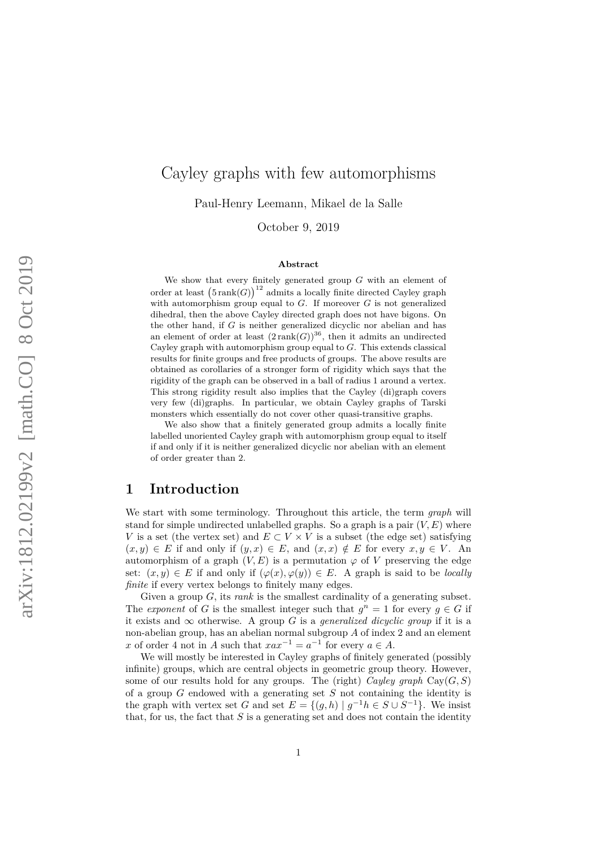# Cayley graphs with few automorphisms

Paul-Henry Leemann, Mikael de la Salle

October 9, 2019

### **Abstract**

We show that every finitely generated group *G* with an element of order at least  $(5 \text{rank}(G))^{12}$  admits a locally finite directed Cayley graph with automorphism group equal to *G*. If moreover *G* is not generalized dihedral, then the above Cayley directed graph does not have bigons. On the other hand, if *G* is neither generalized dicyclic nor abelian and has an element of order at least  $(2 \text{rank}(G))^{36}$ , then it admits an undirected Cayley graph with automorphism group equal to *G*. This extends classical results for finite groups and free products of groups. The above results are obtained as corollaries of a stronger form of rigidity which says that the rigidity of the graph can be observed in a ball of radius 1 around a vertex. This strong rigidity result also implies that the Cayley (di)graph covers very few (di)graphs. In particular, we obtain Cayley graphs of Tarski monsters which essentially do not cover other quasi-transitive graphs.

We also show that a finitely generated group admits a locally finite labelled unoriented Cayley graph with automorphism group equal to itself if and only if it is neither generalized dicyclic nor abelian with an element of order greater than 2.

# **1 Introduction**

We start with some terminology. Throughout this article, the term *graph* will stand for simple undirected unlabelled graphs. So a graph is a pair  $(V, E)$  where *V* is a set (the vertex set) and  $E \subset V \times V$  is a subset (the edge set) satisfying  $(x, y) \in E$  if and only if  $(y, x) \in E$ , and  $(x, x) \notin E$  for every  $x, y \in V$ . An automorphism of a graph  $(V, E)$  is a permutation  $\varphi$  of V preserving the edge set:  $(x, y) \in E$  if and only if  $(\varphi(x), \varphi(y)) \in E$ . A graph is said to be *locally finite* if every vertex belongs to finitely many edges.

Given a group *G*, its *rank* is the smallest cardinality of a generating subset. The *exponent* of *G* is the smallest integer such that  $g^n = 1$  for every  $g \in G$  if it exists and  $\infty$  otherwise. A group *G* is a *generalized dicyclic group* if it is a non-abelian group, has an abelian normal subgroup *A* of index 2 and an element *x* of order 4 not in *A* such that  $xax^{-1} = a^{-1}$  for every  $a \in A$ .

We will mostly be interested in Cayley graphs of finitely generated (possibly infinite) groups, which are central objects in geometric group theory. However, some of our results hold for any groups. The (right) *Cayley graph*  $Cay(G, S)$ of a group *G* endowed with a generating set *S* not containing the identity is the graph with vertex set *G* and set  $E = \{(g, h) | g^{-1}h \in S \cup S^{-1}\}\.$  We insist that, for us, the fact that  $S$  is a generating set and does not contain the identity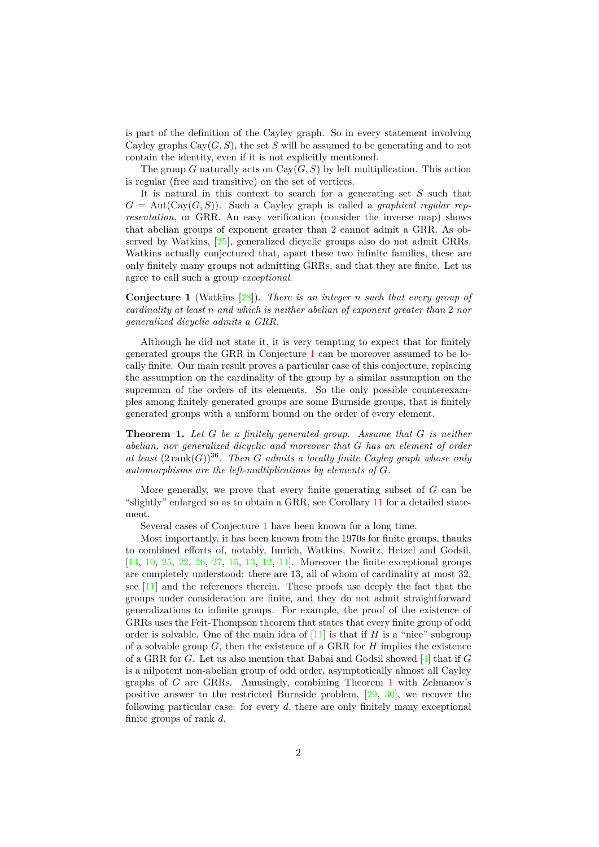is part of the definition of the Cayley graph. So in every statement involving Cayley graphs  $Cay(G, S)$ , the set *S* will be assumed to be generating and to not contain the identity, even if it is not explicitly mentioned.

The group *G* naturally acts on  $Cay(G, S)$  by left multiplication. This action is regular (free and transitive) on the set of vertices.

It is natural in this context to search for a generating set *S* such that  $G = \text{Aut}(\text{Cav}(G, S))$ . Such a Cayley graph is called a *graphical regular representation*, or GRR. An easy verification (consider the inverse map) shows that abelian groups of exponent greater than 2 cannot admit a GRR. As observed by Watkins, [\[25\]](#page-29-0), generalized dicyclic groups also do not admit GRRs. Watkins actually conjectured that, apart these two infinite families, these are only finitely many groups not admitting GRRs, and that they are finite. Let us agree to call such a group *exceptional*.

<span id="page-1-0"></span>**Conjecture 1** (Watkins [\[28\]](#page-29-1))**.** *There is an integer n such that every group of cardinality at least n and which is neither abelian of exponent greater than* 2 *nor generalized dicyclic admits a GRR.*

Although he did not state it, it is very tempting to expect that for finitely generated groups the GRR in Conjecture [1](#page-1-0) can be moreover assumed to be locally finite. Our main result proves a particular case of this conjecture, replacing the assumption on the cardinality of the group by a similar assumption on the supremum of the orders of its elements. So the only possible counterexamples among finitely generated groups are some Burnside groups, that is finitely generated groups with a uniform bound on the order of every element.

<span id="page-1-1"></span>**Theorem 1.** *Let G be a finitely generated group. Assume that G is neither abelian, nor generalized dicyclic and moreover that G has an element of order* at least  $(2 \text{ rank}(G))^{36}$ . Then *G* admits a locally finite Cayley graph whose only *automorphisms are the left-multiplications by elements of G.*

More generally, we prove that every finite generating subset of *G* can be "slightly" enlarged so as to obtain a GRR, see Corollary [11](#page-9-0) for a detailed statement.

Several cases of Conjecture [1](#page-1-0) have been known for a long time.

Most importantly, it has been known from the 1970s for finite groups, thanks to combined efforts of, notably, Imrich, Watkins, Nowitz, Hetzel and Godsil, [\[14,](#page-28-0) [10,](#page-28-1) [25,](#page-29-0) [22,](#page-29-2) [26,](#page-29-3) [27,](#page-29-4) [15,](#page-28-2) [13,](#page-28-3) [12,](#page-28-4) [11\]](#page-28-5). Moreover the finite exceptional groups are completely understood: there are 13, all of whom of cardinality at most 32, see [\[11\]](#page-28-5) and the references therein. These proofs use deeply the fact that the groups under consideration are finite, and they do not admit straightforward generalizations to infinite groups. For example, the proof of the existence of GRRs uses the Feit-Thompson theorem that states that every finite group of odd order is solvable. One of the main idea of  $[11]$  is that if *H* is a "nice" subgroup of a solvable group *G*, then the existence of a GRR for *H* implies the existence of a GRR for *G*. Let us also mention that Babai and Godsil showed [\[4\]](#page-27-0) that if *G* is a nilpotent non-abelian group of odd order, asymptotically almost all Cayley graphs of *G* are GRRs. Amusingly, combining Theorem [1](#page-1-1) with Zelmanov's positive answer to the restricted Burnside problem, [\[29,](#page-29-5) [30\]](#page-29-6), we recover the following particular case: for every *d*, there are only finitely many exceptional finite groups of rank *d*.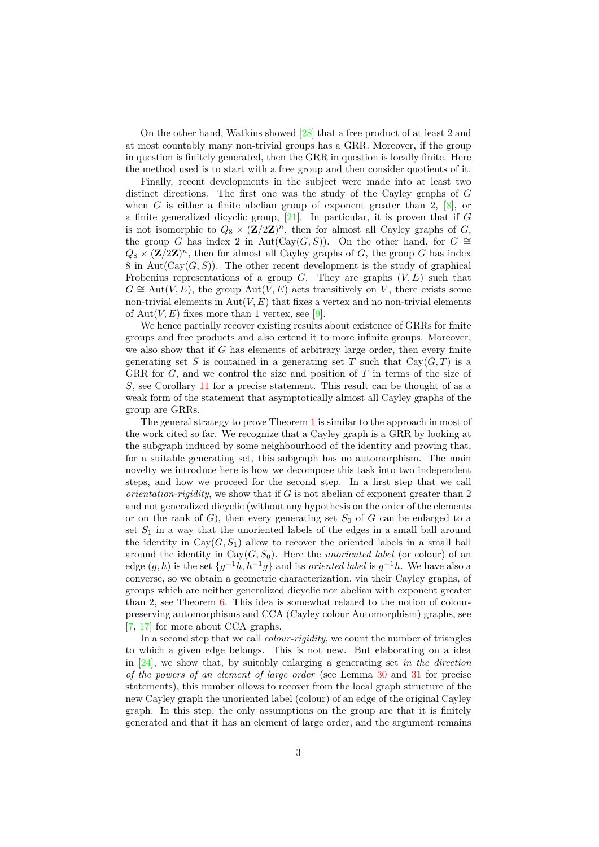On the other hand, Watkins showed [\[28\]](#page-29-1) that a free product of at least 2 and at most countably many non-trivial groups has a GRR. Moreover, if the group in question is finitely generated, then the GRR in question is locally finite. Here the method used is to start with a free group and then consider quotients of it.

Finally, recent developments in the subject were made into at least two distinct directions. The first one was the study of the Cayley graphs of *G* when *G* is either a finite abelian group of exponent greater than 2,  $[8]$ , or a finite generalized dicyclic group, [\[21\]](#page-29-7). In particular, it is proven that if *G* is not isomorphic to  $Q_8 \times (\mathbf{Z}/2\mathbf{Z})^n$ , then for almost all Cayley graphs of *G*, the group *G* has index 2 in Aut(Cay(*G, S*)). On the other hand, for  $G \cong$  $Q_8 \times (\mathbf{Z}/2\mathbf{Z})^n$ , then for almost all Cayley graphs of *G*, the group *G* has index 8 in Aut( $Cay(G, S)$ ). The other recent development is the study of graphical Frobenius representations of a group  $G$ . They are graphs  $(V, E)$  such that  $G \cong \text{Aut}(V, E)$ , the group  $\text{Aut}(V, E)$  acts transitively on *V*, there exists some non-trivial elements in  $Aut(V, E)$  that fixes a vertex and no non-trivial elements of  $Aut(V, E)$  fixes more than 1 vertex, see [\[9\]](#page-28-7).

We hence partially recover existing results about existence of GRRs for finite groups and free products and also extend it to more infinite groups. Moreover, we also show that if *G* has elements of arbitrary large order, then every finite generating set *S* is contained in a generating set *T* such that  $Cay(G,T)$  is a GRR for *G*, and we control the size and position of *T* in terms of the size of *S*, see Corollary [11](#page-9-0) for a precise statement. This result can be thought of as a weak form of the statement that asymptotically almost all Cayley graphs of the group are GRRs.

The general strategy to prove Theorem [1](#page-1-1) is similar to the approach in most of the work cited so far. We recognize that a Cayley graph is a GRR by looking at the subgraph induced by some neighbourhood of the identity and proving that, for a suitable generating set, this subgraph has no automorphism. The main novelty we introduce here is how we decompose this task into two independent steps, and how we proceed for the second step. In a first step that we call *orientation-rigidity*, we show that if *G* is not abelian of exponent greater than 2 and not generalized dicyclic (without any hypothesis on the order of the elements or on the rank of  $G$ ), then every generating set  $S_0$  of  $G$  can be enlarged to a set  $S_1$  in a way that the unoriented labels of the edges in a small ball around the identity in  $Cay(G, S_1)$  allow to recover the oriented labels in a small ball around the identity in  $Cay(G, S_0)$ . Here the *unoriented label* (or colour) of an edge  $(g, h)$  is the set  $\{g^{-1}h, h^{-1}g\}$  and its *oriented label* is  $g^{-1}h$ . We have also a converse, so we obtain a geometric characterization, via their Cayley graphs, of groups which are neither generalized dicyclic nor abelian with exponent greater than 2, see Theorem [6.](#page-7-0) This idea is somewhat related to the notion of colourpreserving automorphisms and CCA (Cayley colour Automorphism) graphs, see [\[7,](#page-28-8) [17\]](#page-28-9) for more about CCA graphs.

In a second step that we call *colour-rigidity*, we count the number of triangles to which a given edge belongs. This is not new. But elaborating on a idea in [\[24\]](#page-29-8), we show that, by suitably enlarging a generating set *in the direction of the powers of an element of large order* (see Lemma [30](#page-19-0) and [31](#page-22-0) for precise statements), this number allows to recover from the local graph structure of the new Cayley graph the unoriented label (colour) of an edge of the original Cayley graph. In this step, the only assumptions on the group are that it is finitely generated and that it has an element of large order, and the argument remains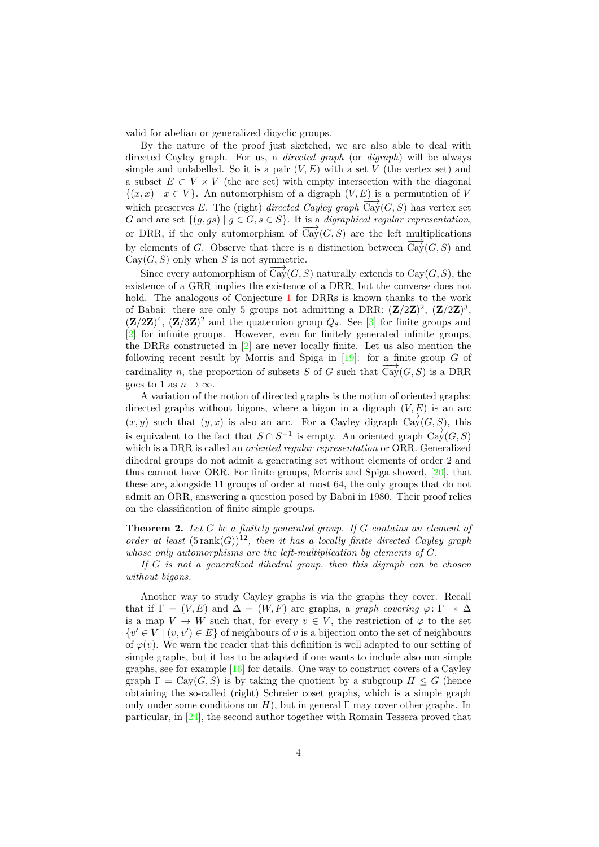valid for abelian or generalized dicyclic groups.

By the nature of the proof just sketched, we are also able to deal with directed Cayley graph. For us, a *directed graph* (or *digraph*) will be always simple and unlabelled. So it is a pair  $(V, E)$  with a set  $V$  (the vertex set) and a subset  $E \subset V \times V$  (the arc set) with empty intersection with the diagonal  $\{(x, x) \mid x \in V\}$ . An automorphism of a digraph  $(V, E)$  is a permutation of *V* which preserves *E*. The (right) *directed Cayley graph*  $\overline{Cay}(G, S)$  has vertex set *G* and arc set  $\{(g, gs) | g \in G, s \in S\}$ . It is a *digraphical regular representation*, or DRR, if the only automorphism of  $\overrightarrow{Cay}(G, S)$  are the left multiplications by elements of *G*. Observe that there is a distinction between  $\overrightarrow{Cay}(G, S)$  and  $Cav(G, S)$  only when *S* is not symmetric.

Since every automorphism of  $\overrightarrow{Cav}(G, S)$  naturally extends to  $Cav(G, S)$ , the existence of a GRR implies the existence of a DRR, but the converse does not hold. The analogous of Conjecture [1](#page-1-0) for DRRs is known thanks to the work of Babai: there are only 5 groups not admitting a DRR:  $(\mathbf{Z}/2\mathbf{Z})^2$ ,  $(\mathbf{Z}/2\mathbf{Z})^3$ ,  $({\bf Z}/2{\bf Z})^4$ ,  $({\bf Z}/3{\bf Z})^2$  and the quaternion group  $Q_8$ . See [\[3\]](#page-27-1) for finite groups and [\[2\]](#page-27-2) for infinite groups. However, even for finitely generated infinite groups, the DRRs constructed in [\[2\]](#page-27-2) are never locally finite. Let us also mention the following recent result by Morris and Spiga in [\[19\]](#page-28-10): for a finite group *G* of cardinality *n*, the proportion of subsets *S* of *G* such that  $\overrightarrow{Cav}(G, S)$  is a DRR goes to 1 as  $n \to \infty$ .

A variation of the notion of directed graphs is the notion of oriented graphs: directed graphs without bigons, where a bigon in a digraph  $(V, E)$  is an arc  $(x, y)$  such that  $(y, x)$  is also an arc. For a Cayley digraph  $\overrightarrow{Cay}(G, S)$ , this is equivalent to the fact that  $S \cap S^{-1}$  is empty. An oriented graph  $\overline{Cay}(G, S)$ which is a DRR is called an *oriented regular representation* or ORR. Generalized dihedral groups do not admit a generating set without elements of order 2 and thus cannot have ORR. For finite groups, Morris and Spiga showed,  $[20]$ , that these are, alongside 11 groups of order at most 64, the only groups that do not admit an ORR, answering a question posed by Babai in 1980. Their proof relies on the classification of finite simple groups.

<span id="page-3-0"></span>**Theorem 2.** *Let G be a finitely generated group. If G contains an element of order at least*  $(5 \text{rank}(G))^{12}$ , then it has a locally finite directed Cayley graph *whose only automorphisms are the left-multiplication by elements of G.*

*If G is not a generalized dihedral group, then this digraph can be chosen without bigons.*

Another way to study Cayley graphs is via the graphs they cover. Recall that if  $\Gamma = (V, E)$  and  $\Delta = (W, F)$  are graphs, a *graph covering*  $\varphi: \Gamma \to \Delta$ is a map  $V \to W$  such that, for every  $v \in V$ , the restriction of  $\varphi$  to the set  $\{v' \in V \mid (v, v') \in E\}$  of neighbours of *v* is a bijection onto the set of neighbours of  $\varphi(v)$ . We warn the reader that this definition is well adapted to our setting of simple graphs, but it has to be adapted if one wants to include also non simple graphs, see for example [\[16\]](#page-28-12) for details. One way to construct covers of a Cayley graph  $\Gamma = \text{Cay}(G, S)$  is by taking the quotient by a subgroup  $H \leq G$  (hence obtaining the so-called (right) Schreier coset graphs, which is a simple graph only under some conditions on  $H$ ), but in general  $\Gamma$  may cover other graphs. In particular, in [\[24\]](#page-29-8), the second author together with Romain Tessera proved that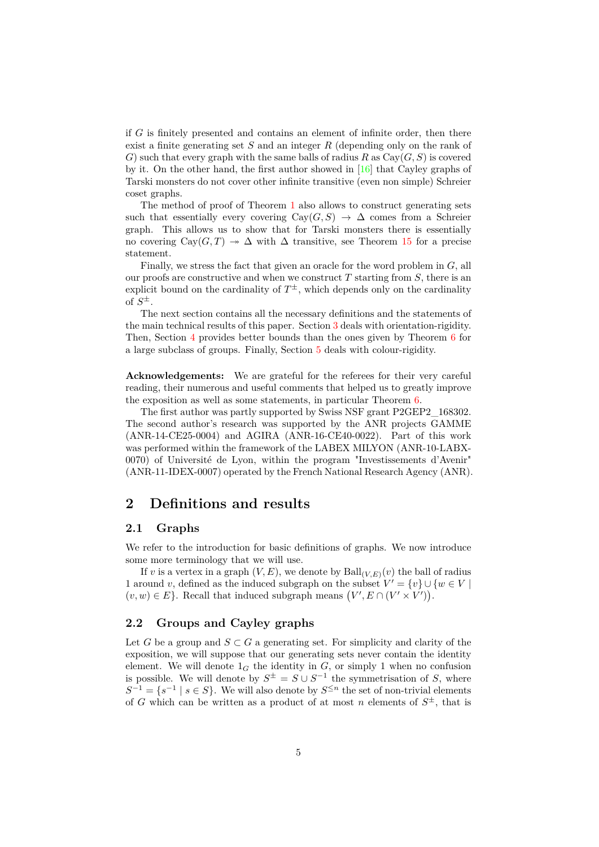if *G* is finitely presented and contains an element of infinite order, then there exist a finite generating set *S* and an integer *R* (depending only on the rank of *G*) such that every graph with the same balls of radius *R* as  $Cay(G, S)$  is covered by it. On the other hand, the first author showed in [\[16\]](#page-28-12) that Cayley graphs of Tarski monsters do not cover other infinite transitive (even non simple) Schreier coset graphs.

The method of proof of Theorem [1](#page-1-1) also allows to construct generating sets such that essentially every covering  $Cay(G, S) \rightarrow \Delta$  comes from a Schreier graph. This allows us to show that for Tarski monsters there is essentially no covering  $Cay(G,T) \rightarrow \Delta$  with  $\Delta$  transitive, see Theorem [15](#page-10-0) for a precise statement.

Finally, we stress the fact that given an oracle for the word problem in *G*, all our proofs are constructive and when we construct *T* starting from *S*, there is an explicit bound on the cardinality of  $T^{\pm}$ , which depends only on the cardinality of  $S^{\pm}$ .

The next section contains all the necessary definitions and the statements of the main technical results of this paper. Section [3](#page-11-0) deals with orientation-rigidity. Then, Section [4](#page-16-0) provides better bounds than the ones given by Theorem [6](#page-7-0) for a large subclass of groups. Finally, Section [5](#page-18-0) deals with colour-rigidity.

**Acknowledgements:** We are grateful for the referees for their very careful reading, their numerous and useful comments that helped us to greatly improve the exposition as well as some statements, in particular Theorem [6.](#page-7-0)

The first author was partly supported by Swiss NSF grant P2GEP2\_168302. The second author's research was supported by the ANR projects GAMME (ANR-14-CE25-0004) and AGIRA (ANR-16-CE40-0022). Part of this work was performed within the framework of the LABEX MILYON (ANR-10-LABX-0070) of Université de Lyon, within the program "Investissements d'Avenir" (ANR-11-IDEX-0007) operated by the French National Research Agency (ANR).

# **2 Definitions and results**

#### **2.1 Graphs**

We refer to the introduction for basic definitions of graphs. We now introduce some more terminology that we will use.

If *v* is a vertex in a graph  $(V, E)$ , we denote by  $\text{Ball}_{(V, E)}(v)$  the ball of radius 1 around *v*, defined as the induced subgraph on the subset  $V' = \{v\} \cup \{w \in V \mid$  $(v, w) \in E$ . Recall that induced subgraph means  $(V', E \cap (V' \times V'))$ .

### **2.2 Groups and Cayley graphs**

Let *G* be a group and  $S \subset G$  a generating set. For simplicity and clarity of the exposition, we will suppose that our generating sets never contain the identity element. We will denote  $1_G$  the identity in  $G$ , or simply 1 when no confusion is possible. We will denote by  $S^{\pm} = S \cup S^{-1}$  the symmetrisation of *S*, where  $S^{-1} = \{s^{-1} \mid s \in S\}$ . We will also denote by  $S^{\leq n}$  the set of non-trivial elements of *G* which can be written as a product of at most *n* elements of  $S^{\pm}$ , that is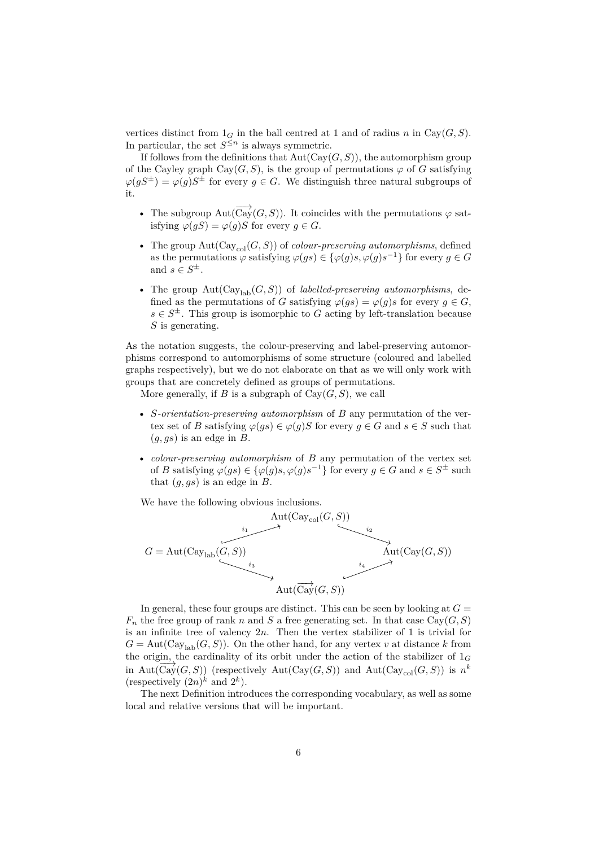vertices distinct from  $1_G$  in the ball centred at 1 and of radius *n* in Cay( $G, S$ ). In particular, the set  $S^{\leq n}$  is always symmetric.

If follows from the definitions that  $Aut(Cay(G, S))$ , the automorphism group of the Cayley graph  $Cay(G, S)$ , is the group of permutations  $\varphi$  of *G* satisfying  $\varphi(gS^{\pm}) = \varphi(g)S^{\pm}$  for every  $g \in G$ . We distinguish three natural subgroups of it.

- The subgroup Aut( $\overrightarrow{Cay}(G, S)$ ). It coincides with the permutations  $\varphi$  satisfying  $\varphi(qS) = \varphi(q)S$  for every  $q \in G$ .
- The group  $Aut(Cay_{col}(G, S))$  of *colour-preserving automorphisms*, defined as the permutations  $\varphi$  satisfying  $\varphi(gs) \in {\varphi(g)s, \varphi(g)s^{-1}}$  for every  $g \in G$ and  $s \in S^{\pm}$ .
- The group  $Aut(Cay_{lab}(G, S))$  of *labelled-preserving automorphisms*, defined as the permutations of *G* satisfying  $\varphi(gs) = \varphi(g)s$  for every  $g \in G$ ,  $s \in S^{\pm}$ . This group is isomorphic to *G* acting by left-translation because *S* is generating.

As the notation suggests, the colour-preserving and label-preserving automorphisms correspond to automorphisms of some structure (coloured and labelled graphs respectively), but we do not elaborate on that as we will only work with groups that are concretely defined as groups of permutations.

More generally, if *B* is a subgraph of  $Cay(G, S)$ , we call

- *S-orientation-preserving automorphism* of *B* any permutation of the vertex set of *B* satisfying  $\varphi(gs) \in \varphi(g)$  for every  $g \in G$  and  $s \in S$  such that (*g, gs*) is an edge in *B*.
- *colour-preserving automorphism* of *B* any permutation of the vertex set of *B* satisfying  $\varphi(gs) \in {\varphi(g)s, \varphi(g)s^{-1}}$  for every  $g \in G$  and  $s \in S^{\pm}$  such that (*g, gs*) is an edge in *B*.

We have the following obvious inclusions.



In general, these four groups are distinct. This can be seen by looking at  $G =$  $F_n$  the free group of rank *n* and *S* a free generating set. In that case  $Cay(G, S)$ is an infinite tree of valency 2*n*. Then the vertex stabilizer of 1 is trivial for  $G = \text{Aut}(\text{Cay}_{\text{lab}}(G, S))$ . On the other hand, for any vertex *v* at distance *k* from the origin, the cardinality of its orbit under the action of the stabilizer of 1*<sup>G</sup>* in Aut( $\overline{Cay}(G, S)$ ) (respectively Aut( $Cay(G, S)$ ) and Aut( $Cay_{col}(G, S)$ ) is *n*<sup>*k*</sup> (respectively  $(2n)^k$  and  $2^k$ ).

The next Definition introduces the corresponding vocabulary, as well as some local and relative versions that will be important.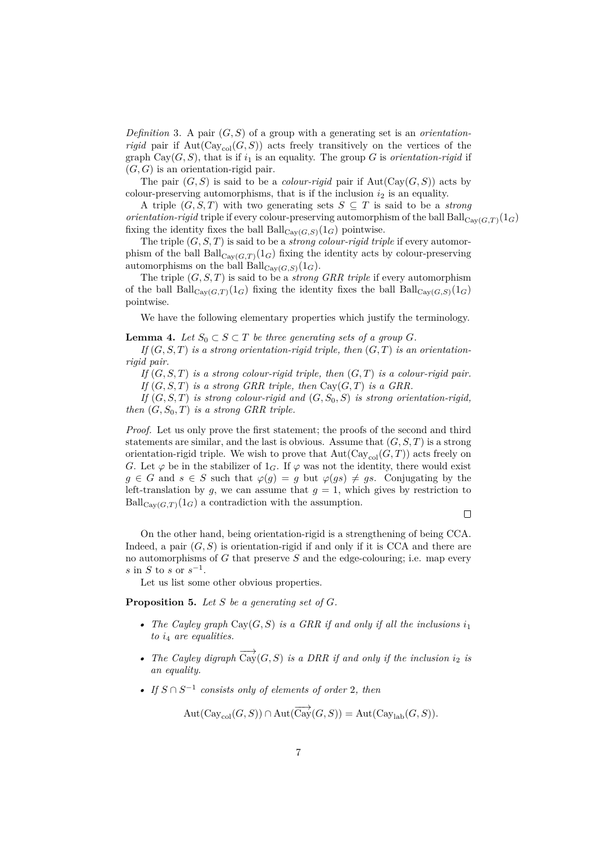<span id="page-6-2"></span>*Definition* 3. A pair  $(G, S)$  of a group with a generating set is an *orientationrigid* pair if  $Aut(Cay_{col}(G, S))$  acts freely transitively on the vertices of the graph  $Cay(G, S)$ , that is if  $i_1$  is an equality. The group *G* is *orientation-rigid* if  $(G, G)$  is an orientation-rigid pair.

The pair  $(G, S)$  is said to be a *colour-rigid* pair if  $Aut(Cay(G, S))$  acts by colour-preserving automorphisms, that is if the inclusion  $i_2$  is an equality.

A triple  $(G, S, T)$  with two generating sets  $S \subseteq T$  is said to be a *strong orientation-rigid* triple if every colour-preserving automorphism of the ball Ball $_{\text{Cav}(G,T)}(1_G)$ fixing the identity fixes the ball  $\text{Ball}_{\text{Cay}(G,S)}(1_G)$  pointwise.

The triple  $(G, S, T)$  is said to be a *strong colour-rigid triple* if every automorphism of the ball  $\text{Ball}_{\text{Cay}(G,T)}(1_G)$  fixing the identity acts by colour-preserving automorphisms on the ball  $\text{Ball}_{\text{Cay}(G,S)}(1_G)$ .

The triple  $(G, S, T)$  is said to be a *strong GRR triple* if every automorphism of the ball Ball $_{\text{Cay}(G,T)}(1_G)$  fixing the identity fixes the ball Ball $_{\text{Cay}(G,S)}(1_G)$ pointwise.

We have the following elementary properties which justify the terminology.

<span id="page-6-1"></span>**Lemma 4.** *Let*  $S_0 \subset S \subset T$  *be three generating sets of a group*  $G$ *.* 

If  $(G, S, T)$  *is a strong orientation-rigid triple, then*  $(G, T)$  *is an orientationrigid pair.*

*If* (*G, S, T*) *is a strong colour-rigid triple, then* (*G, T*) *is a colour-rigid pair. If*  $(G, S, T)$  *is a strong GRR triple, then*  $Cay(G, T)$  *is a GRR.* 

*If* (*G, S, T*) *is strong colour-rigid and* (*G, S*0*, S*) *is strong orientation-rigid, then*  $(G, S_0, T)$  *is a strong GRR triple.* 

*Proof.* Let us only prove the first statement; the proofs of the second and third statements are similar, and the last is obvious. Assume that  $(G, S, T)$  is a strong orientation-rigid triple. We wish to prove that  $Aut(Cay_{col}(G, T))$  acts freely on *G*. Let  $\varphi$  be in the stabilizer of 1<sub>*G*</sub>. If  $\varphi$  was not the identity, there would exist  $g \in G$  and  $s \in S$  such that  $\varphi(g) = g$  but  $\varphi(gs) \neq gs$ . Conjugating by the left-translation by  $g$ , we can assume that  $g = 1$ , which gives by restriction to  $\text{Ball}_{\text{Cav}(G,T)}(1_G)$  a contradiction with the assumption.

 $\Box$ 

On the other hand, being orientation-rigid is a strengthening of being CCA. Indeed, a pair  $(G, S)$  is orientation-rigid if and only if it is CCA and there are no automorphisms of *G* that preserve *S* and the edge-colouring; i.e. map every  $s \text{ in } S \text{ to } s \text{ or } s^{-1}.$ 

Let us list some other obvious properties.

<span id="page-6-0"></span>**Proposition 5.** *Let S be a generating set of G.*

- *The Cayley graph*  $Cay(G, S)$  *is a GRR if and only if all the inclusions*  $i_1$ *to i*<sup>4</sup> *are equalities.*
- *The Cayley digraph*  $\overrightarrow{Cay}(G, S)$  *is a DRR if and only if the inclusion*  $i_2$  *is an equality.*
- *• If S* ∩ *S* −1 *consists only of elements of order* 2*, then*

$$
\operatorname{Aut}(\operatorname{Cay}_{\operatorname{col}}(G,S)) \cap \operatorname{Aut}(\overrightarrow{\operatorname{Cay}}(G,S)) = \operatorname{Aut}(\operatorname{Cay}_{\operatorname{lab}}(G,S)).
$$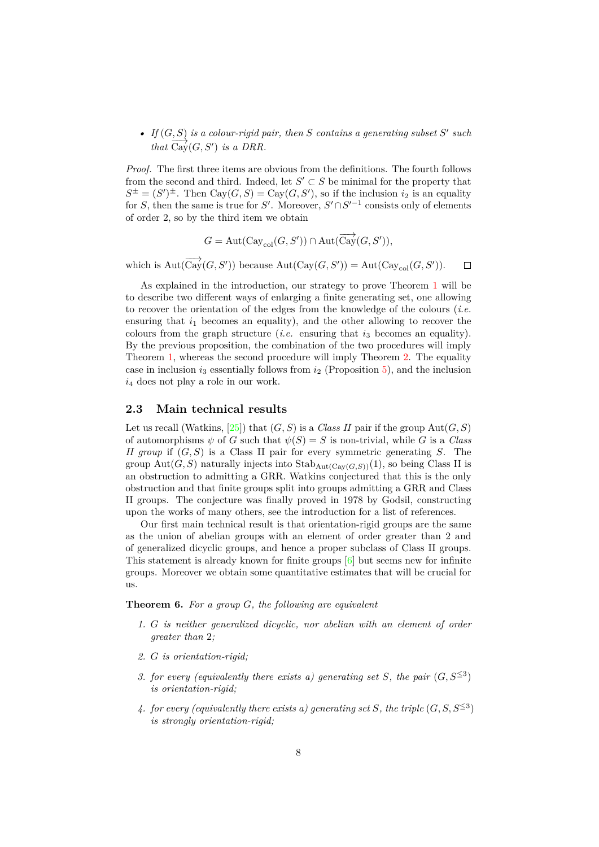• *If*  $(G, S)$  *is a colour-rigid pair, then S contains a generating subset S' such that*  $\overrightarrow{Cay}(G, S')$  *is a DRR.* 

*Proof.* The first three items are obvious from the definitions. The fourth follows from the second and third. Indeed, let  $S' \subset S$  be minimal for the property that  $S^{\pm} = (S')^{\pm}$ . Then Cay $(G, S) = Cay(G, S')$ , so if the inclusion *i*<sub>2</sub> is an equality for *S*, then the same is true for *S'*. Moreover,  $S' \cap S'^{-1}$  consists only of elements of order 2, so by the third item we obtain

$$
G = \mathrm{Aut}(\mathrm{Cay}_{\mathrm{col}}(G,S')) \cap \mathrm{Aut}(\overrightarrow{\mathrm{Cay}}(G,S')),
$$

which is  $Aut(\overrightarrow{Cay}(G, S'))$  because  $Aut(Cay(G, S')) = Aut(Cay_{col}(G, S')).$  $\Box$ 

As explained in the introduction, our strategy to prove Theorem [1](#page-1-1) will be to describe two different ways of enlarging a finite generating set, one allowing to recover the orientation of the edges from the knowledge of the colours (*i.e.* ensuring that  $i_1$  becomes an equality), and the other allowing to recover the colours from the graph structure  $(i.e.$  ensuring that  $i<sub>3</sub>$  becomes an equality). By the previous proposition, the combination of the two procedures will imply Theorem [1,](#page-1-1) whereas the second procedure will imply Theorem [2.](#page-3-0) The equality case in inclusion  $i_3$  essentially follows from  $i_2$  (Proposition [5\)](#page-6-0), and the inclusion *i*<sup>4</sup> does not play a role in our work.

### **2.3 Main technical results**

Let us recall (Watkins, [\[25\]](#page-29-0)) that  $(G, S)$  is a *Class II* pair if the group  $Aut(G, S)$ of automorphisms  $\psi$  of *G* such that  $\psi(S) = S$  is non-trivial, while *G* is a *Class II group* if (*G, S*) is a Class II pair for every symmetric generating *S*. The group Aut $(G, S)$  naturally injects into Stab<sub>Aut</sub> $(\text{Cav}(G, S))$ (1), so being Class II is an obstruction to admitting a GRR. Watkins conjectured that this is the only obstruction and that finite groups split into groups admitting a GRR and Class II groups. The conjecture was finally proved in 1978 by Godsil, constructing upon the works of many others, see the introduction for a list of references.

Our first main technical result is that orientation-rigid groups are the same as the union of abelian groups with an element of order greater than 2 and of generalized dicyclic groups, and hence a proper subclass of Class II groups. This statement is already known for finite groups [\[6\]](#page-28-13) but seems new for infinite groups. Moreover we obtain some quantitative estimates that will be crucial for us.

<span id="page-7-4"></span><span id="page-7-0"></span>**Theorem 6.** *For a group G, the following are equivalent*

- *1. G is neither generalized dicyclic, nor abelian with an element of order greater than* 2*;*
- <span id="page-7-3"></span>*2. G is orientation-rigid;*
- <span id="page-7-1"></span>*3. for every (equivalently there exists a) generating set S, the pair*  $(G, S^{\leq 3})$ *is orientation-rigid;*
- <span id="page-7-2"></span>4. *for every (equivalently there exists a) generating set S, the triple*  $(G, S, S^{\leq 3})$ *is strongly orientation-rigid;*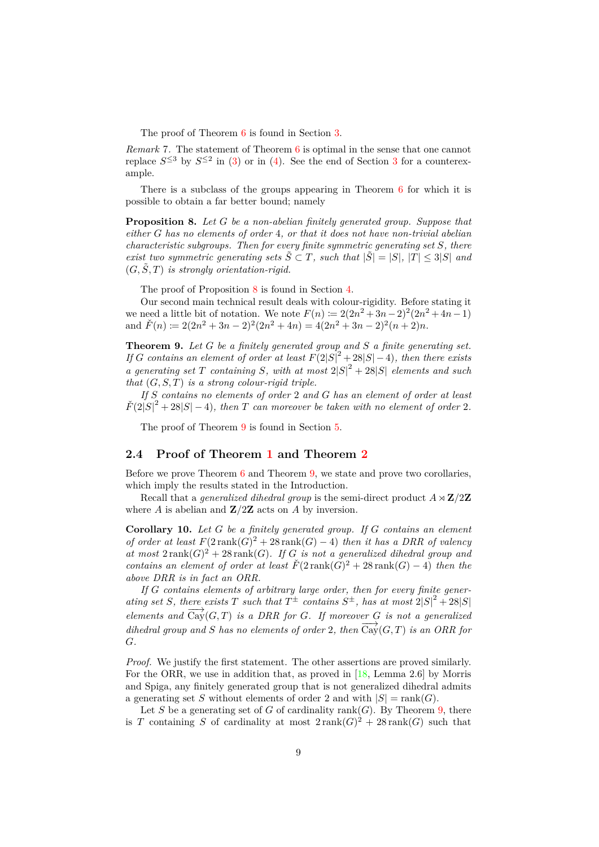The proof of Theorem [6](#page-7-0) is found in Section [3.](#page-11-0)

<span id="page-8-3"></span>*Remark* 7*.* The statement of Theorem [6](#page-7-0) is optimal in the sense that one cannot replace  $S^{\leq 3}$  $S^{\leq 3}$  $S^{\leq 3}$  by  $S^{\leq 2}$  in [\(3\)](#page-7-1) or in [\(4\)](#page-7-2). See the end of Section 3 for a counterexample.

There is a subclass of the groups appearing in Theorem [6](#page-7-0) for which it is possible to obtain a far better bound; namely

<span id="page-8-0"></span>**Proposition 8.** *Let G be a non-abelian finitely generated group. Suppose that either G has no elements of order* 4*, or that it does not have non-trivial abelian characteristic subgroups. Then for every finite symmetric generating set S, there exist two symmetric generating sets*  $\tilde{S} \subset T$ *, such that*  $|\tilde{S}| = |S|$ *,*  $|T| \leq 3|S|$  *and*  $(G, \tilde{S}, T)$  *is strongly orientation-rigid.* 

The proof of Proposition [8](#page-8-0) is found in Section [4.](#page-16-0)

Our second main technical result deals with colour-rigidity. Before stating it we need a little bit of notation. We note  $F(n) := 2(2n^2 + 3n - 2)^2(2n^2 + 4n - 1)$ and  $\check{F}(n) := 2(2n^2 + 3n - 2)^2(2n^2 + 4n) = 4(2n^2 + 3n - 2)^2(n + 2)n$ .

<span id="page-8-1"></span>**Theorem 9.** *Let G be a finitely generated group and S a finite generating set. If G contains an element of order at least*  $F(2|S|^2 + 28|S| - 4)$ *, then there exists a* generating set *T* containing *S*, with at most  $2|S|^2 + 28|S|$  elements and such *that* (*G, S, T*) *is a strong colour-rigid triple.*

*If S contains no elements of order* 2 *and G has an element of order at least*  $\widetilde{F}(2|S|^2 + 28|S| - 4)$ , then *T* can moreover be taken with no element of order 2.

The proof of Theorem [9](#page-8-1) is found in Section [5.](#page-18-0)

#### **2.4 Proof of Theorem [1](#page-1-1) and Theorem [2](#page-3-0)**

Before we prove Theorem  $6$  and Theorem [9,](#page-8-1) we state and prove two corollaries, which imply the results stated in the Introduction.

Recall that a *generalized dihedral group* is the semi-direct product  $A \rtimes \mathbf{Z}/2\mathbf{Z}$ where *A* is abelian and **Z***/*2**Z** acts on *A* by inversion.

<span id="page-8-2"></span>**Corollary 10.** *Let G be a finitely generated group. If G contains an element of order at least*  $F(2 \text{ rank}(G))^2 + 28 \text{ rank}(G) - 4)$  *then it has a DRR of valency* at most  $2 \text{ rank}(G)^2 + 28 \text{ rank}(G)$ . If *G* is not a generalized dihedral group and *contains an element of order at least*  $\check{F}(2 \text{ rank}(\check{G})^2 + 28 \text{ rank}(G) - 4)$  *then the above DRR is in fact an ORR.*

*If G contains elements of arbitrary large order, then for every finite generating set S*, there exists *T* such that  $T^{\pm}$  contains  $S^{\pm}$ , has at most  $2|S|^2 + 28|S|$ *elements and*  $\overrightarrow{Cay}(G,T)$  *is a DRR for G. If moreover G is not a generalized dihedral group and S has no elements of order* 2*, then*  $\overrightarrow{Cay}(G,T)$  *is an ORR for G.*

*Proof.* We justify the first statement. The other assertions are proved similarly. For the ORR, we use in addition that, as proved in [\[18,](#page-28-14) Lemma 2.6] by Morris and Spiga, any finitely generated group that is not generalized dihedral admits a generating set *S* without elements of order 2 and with  $|S| = \text{rank}(G)$ .

Let *S* be a generating set of *G* of cardinality rank $(G)$ . By Theorem [9,](#page-8-1) there is *T* containing *S* of cardinality at most  $2 \text{ rank}(G)^2 + 28 \text{ rank}(G)$  such that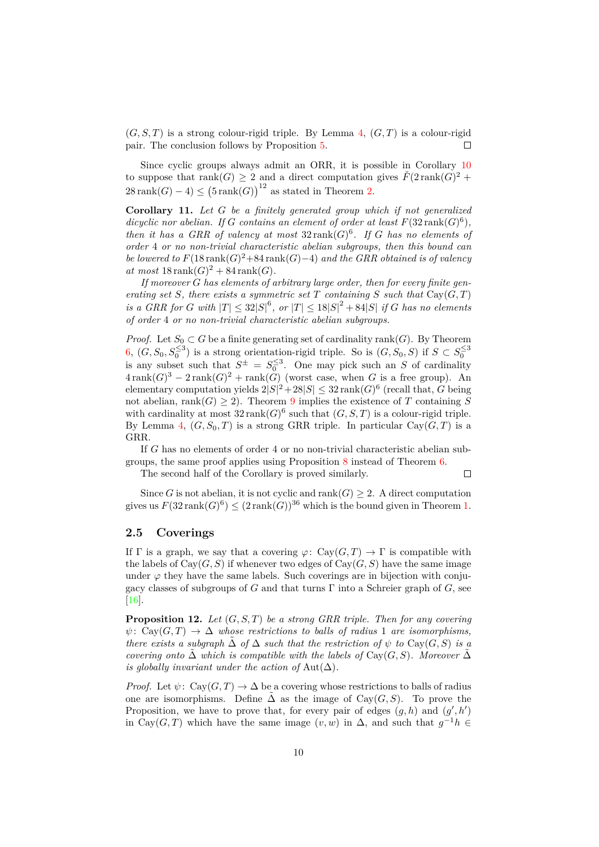$(G, S, T)$  is a strong colour-rigid triple. By Lemma [4,](#page-6-1)  $(G, T)$  is a colour-rigid pair. The conclusion follows by Proposition [5.](#page-6-0) П

Since cyclic groups always admit an ORR, it is possible in Corollary [10](#page-8-2) to suppose that  $\text{rank}(G) \geq 2$  and a direct computation gives  $\check{F}(2\operatorname{rank}(G))^2$  +  $28 \text{ rank}(G) - 4 \le (5 \text{ rank}(G))^{12}$  as stated in Theorem [2.](#page-3-0)

<span id="page-9-0"></span>**Corollary 11.** *Let G be a finitely generated group which if not generalized* dicyclic nor abelian. If G contains an element of order at least  $F(32 \text{ rank}(G)^6)$ , *then it has a GRR of valency at most*  $32 \text{rank}(G)^6$ . If G has no elements of *order* 4 *or no non-trivial characteristic abelian subgroups, then this bound can be lowered to*  $F(18 \text{ rank}(G)^2 + 84 \text{ rank}(G) - 4)$  *and the GRR obtained is of valency*  $at most 18$  rank $(G)^2 + 84$  rank $(G)$ .

*If moreover G has elements of arbitrary large order, then for every finite generating set S, there exists a symmetric set T containing S such that*  $Cay(G,T)$ *is a GRR for G with*  $|T| \leq 32|S|^6$ , or  $|T| \leq 18|S|^2 + 84|S|$  *if G has no elements of order* 4 *or no non-trivial characteristic abelian subgroups.*

*Proof.* Let  $S_0 \subset G$  be a finite generating set of cardinality rank(*G*). By Theorem [6,](#page-7-0)  $(G, S_0, S_0^{\leq 3})$  is a strong orientation-rigid triple. So is  $(G, S_0, S)$  if  $S \subset S_0^{\leq 3}$ is any subset such that  $S^{\pm} = S_0^{\leq 3}$ . One may pick such an *S* of cardinality  $4\operatorname{rank}(G)^3 - 2\operatorname{rank}(G)^2 + \operatorname{rank}(\hat{G})$  (worst case, when *G* is a free group). An elementary computation yields  $2|S|^2 + 28|S| \leq 32 \text{ rank}(G)^6$  (recall that, *G* being not abelian, rank $(G) \geq 2$ ). Theorem [9](#page-8-1) implies the existence of *T* containing *S* with cardinality at most  $32 \text{ rank}(G)^6$  such that  $(G, S, T)$  is a colour-rigid triple. By Lemma [4,](#page-6-1)  $(G, S_0, T)$  is a strong GRR triple. In particular Cay $(G, T)$  is a GRR.

If *G* has no elements of order 4 or no non-trivial characteristic abelian subgroups, the same proof applies using Proposition [8](#page-8-0) instead of Theorem [6.](#page-7-0)

The second half of the Corollary is proved similarly.

 $\Box$ 

Since *G* is not abelian, it is not cyclic and rank $(G) \geq 2$ . A direct computation gives us  $F(32 \operatorname{rank}(G)^6) \le (2 \operatorname{rank}(G))^{36}$  which is the bound given in Theorem [1.](#page-1-1)

#### **2.5 Coverings**

If  $\Gamma$  is a graph, we say that a covering  $\varphi: \text{Cay}(G, T) \to \Gamma$  is compatible with the labels of  $Cay(G, S)$  if whenever two edges of  $Cay(G, S)$  have the same image under  $\varphi$  they have the same labels. Such coverings are in bijection with conjugacy classes of subgroups of *G* and that turns Γ into a Schreier graph of *G*, see [\[16\]](#page-28-12).

<span id="page-9-1"></span>**Proposition 12.** *Let* (*G, S, T*) *be a strong GRR triple. Then for any covering*  $\psi: \text{Cay}(G,T) \to \Delta$  *whose restrictions to balls of radius* 1 *are isomorphisms, there exists a subgraph*  $\tilde{\Delta}$  *of*  $\Delta$  *such that the restriction of*  $\psi$  *to* Cay(*G, S*) *is a covering onto*  $\tilde{\Delta}$  *which is compatible with the labels of* Cay( $G, S$ ). Moreover  $\tilde{\Delta}$ *is globally invariant under the action of*  $Aut(\Delta)$ *.* 

*Proof.* Let  $\psi$ : Cay $(G, T) \to \Delta$  be a covering whose restrictions to balls of radius one are isomorphisms. Define  $\tilde{\Delta}$  as the image of Cay(*G, S*). To prove the Proposition, we have to prove that, for every pair of edges  $(g, h)$  and  $(g', h')$ in Cay(*G*, *T*) which have the same image  $(v, w)$  in  $\Delta$ , and such that  $g^{-1}h \in$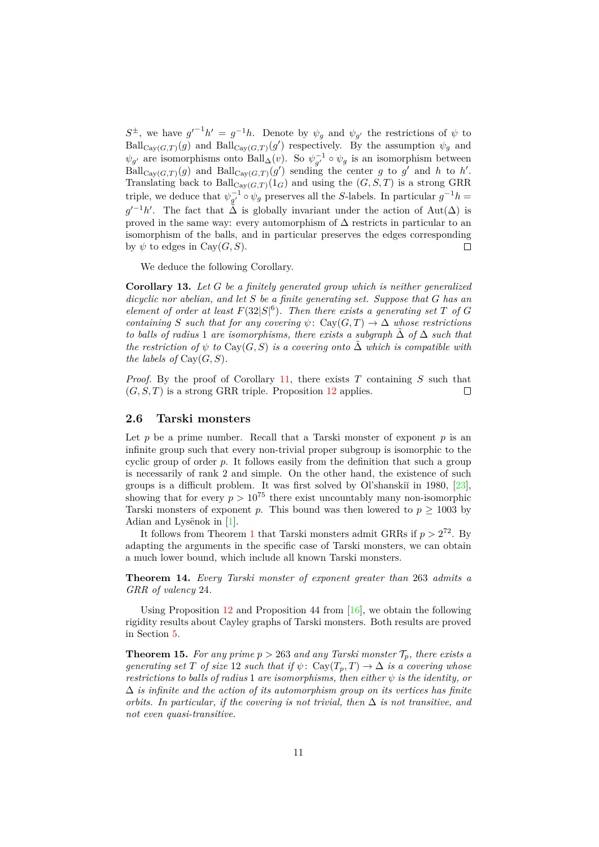$S^{\pm}$ , we have  $g'^{-1}h' = g^{-1}h$ . Denote by  $\psi_g$  and  $\psi_{g'}$  the restrictions of  $\psi$  to  $\text{Ball}_{\text{Cay}(G,T)}(g)$  and  $\text{Ball}_{\text{Cay}(G,T)}(g')$  respectively. By the assumption  $\psi_g$  and  $\psi_{g'}$  are isomorphisms onto Ball<sub>∆</sub>(*v*). So  $\psi_{g'}^{-1} \circ \psi_g$  is an isomorphism between  $\text{Ball}_{\text{Cay}(G,T)}(g)$  and  $\text{Ball}_{\text{Cay}(G,T)}(g')$  sending the center *g* to *g*' and *h* to *h*'. Translating back to  $\text{Ball}_{\text{Cay}(G,T)}(1_G)$  and using the  $(G, S, T)$  is a strong GRR triple, we deduce that  $\psi_{g'}^{-1} \circ \psi_g$  preserves all the *S*-labels. In particular  $g^{-1}h =$  $g'^{-1}h'$ . The fact that  $\tilde{\Delta}$  is globally invariant under the action of Aut( $\Delta$ ) is proved in the same way: every automorphism of  $\Delta$  restricts in particular to an isomorphism of the balls, and in particular preserves the edges corresponding by  $\psi$  to edges in Cay( $G, S$ ).  $\Box$ 

We deduce the following Corollary.

**Corollary 13.** *Let G be a finitely generated group which is neither generalized dicyclic nor abelian, and let S be a finite generating set. Suppose that G has an element of order at least*  $F(32|S|^6)$ *. Then there exists a generating set T of G containing S such that for any covering*  $\psi$ : Cay(*G,T*)  $\rightarrow \Delta$  *whose restrictions to balls of radius* 1 *are isomorphisms, there exists a subgraph* ∆˜ *of* ∆ *such that the restriction of*  $\psi$  *to* Cay(*G, S*) *is a covering onto*  $\tilde{\Delta}$  *which is compatible with the labels of*  $Cav(G, S)$ *.* 

*Proof.* By the proof of Corollary [11,](#page-9-0) there exists *T* containing *S* such that  $(G, S, T)$  is a strong GRR triple. Proposition [12](#page-9-1) applies.  $\Box$ 

#### **2.6 Tarski monsters**

Let  $p$  be a prime number. Recall that a Tarski monster of exponent  $p$  is an infinite group such that every non-trivial proper subgroup is isomorphic to the cyclic group of order *p*. It follows easily from the definition that such a group is necessarily of rank 2 and simple. On the other hand, the existence of such groups is a difficult problem. It was first solved by Ol'shanski $\tilde{u}$  in 1980, [\[23\]](#page-29-9), showing that for every  $p > 10^{75}$  there exist uncountably many non-isomorphic Tarski monsters of exponent *p*. This bound was then lowered to  $p \geq 1003$  by Adian and Lysënok in [\[1\]](#page-27-3).

It follows from Theorem [1](#page-1-1) that Tarski monsters admit GRRs if  $p > 2^{72}$ . By adapting the arguments in the specific case of Tarski monsters, we can obtain a much lower bound, which include all known Tarski monsters.

<span id="page-10-1"></span>**Theorem 14.** *Every Tarski monster of exponent greater than* 263 *admits a GRR of valency* 24*.*

Using Proposition  $12$  and Proposition 44 from  $\left[16\right]$ , we obtain the following rigidity results about Cayley graphs of Tarski monsters. Both results are proved in Section [5.](#page-18-0)

<span id="page-10-0"></span>**Theorem 15.** For any prime  $p > 263$  and any Tarski monster  $\mathcal{T}_p$ , there exists a *generating set T of size* 12 *such that if*  $\psi$ : Cay( $T_p, T$ )  $\rightarrow \Delta$  *is a covering whose restrictions to balls of radius* 1 *are isomorphisms, then either*  $\psi$  *is the identity, or* ∆ *is infinite and the action of its automorphism group on its vertices has finite orbits. In particular, if the covering is not trivial, then*  $\Delta$  *is not transitive, and not even quasi-transitive.*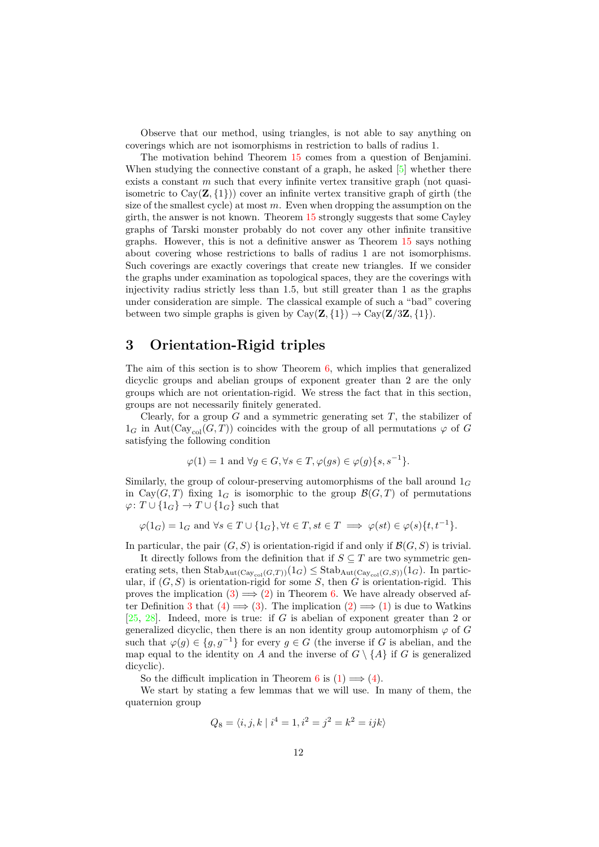Observe that our method, using triangles, is not able to say anything on coverings which are not isomorphisms in restriction to balls of radius 1.

The motivation behind Theorem [15](#page-10-0) comes from a question of Benjamini. When studying the connective constant of a graph, he asked  $[5]$  whether there exists a constant *m* such that every infinite vertex transitive graph (not quasiisometric to  $Cay(\mathbf{Z}, \{1\})$  cover an infinite vertex transitive graph of girth (the size of the smallest cycle) at most *m*. Even when dropping the assumption on the girth, the answer is not known. Theorem [15](#page-10-0) strongly suggests that some Cayley graphs of Tarski monster probably do not cover any other infinite transitive graphs. However, this is not a definitive answer as Theorem [15](#page-10-0) says nothing about covering whose restrictions to balls of radius 1 are not isomorphisms. Such coverings are exactly coverings that create new triangles. If we consider the graphs under examination as topological spaces, they are the coverings with injectivity radius strictly less than 1*.*5, but still greater than 1 as the graphs under consideration are simple. The classical example of such a "bad" covering between two simple graphs is given by  $Cay(\mathbf{Z}, \{1\}) \rightarrow Cay(\mathbf{Z}/3\mathbf{Z}, \{1\}).$ 

### <span id="page-11-0"></span>**3 Orientation-Rigid triples**

The aim of this section is to show Theorem  $6$ , which implies that generalized dicyclic groups and abelian groups of exponent greater than 2 are the only groups which are not orientation-rigid. We stress the fact that in this section, groups are not necessarily finitely generated.

Clearly, for a group *G* and a symmetric generating set *T*, the stabilizer of  $1_G$  in Aut( $\text{Cay}_{\text{col}}(G, T)$ ) coincides with the group of all permutations  $\varphi$  of *G* satisfying the following condition

$$
\varphi(1) = 1 \text{ and } \forall g \in G, \forall s \in T, \varphi(gs) \in \varphi(g)\{s, s^{-1}\}.
$$

Similarly, the group of colour-preserving automorphisms of the ball around 1*<sup>G</sup>* in Cay(*G,T*) fixing  $1_G$  is isomorphic to the group  $\mathcal{B}(G,T)$  of permutations  $\varphi\colon T\cup\{1_G\}\to T\cup\{1_G\}$  such that

$$
\varphi(1_G) = 1_G \text{ and } \forall s \in T \cup \{1_G\}, \forall t \in T, st \in T \implies \varphi(st) \in \varphi(s)\{t, t^{-1}\}.
$$

In particular, the pair  $(G, S)$  is orientation-rigid if and only if  $\mathcal{B}(G, S)$  is trivial.

It directly follows from the definition that if  $S \subseteq T$  are two symmetric generating sets, then  $\text{Stab}_{\text{Aut}(\text{Cay}_{\text{col}}(G,T))}(1_G) \leq \text{Stab}_{\text{Aut}(\text{Cay}_{\text{col}}(G,S))}(1_G)$ . In particular, if  $(G, S)$  is orientation-rigid for some *S*, then  $\ddot{G}$  is orientation-rigid. This proves the implication  $(3) \implies (2)$  $(3) \implies (2)$  $(3) \implies (2)$  in Theorem [6.](#page-7-0) We have already observed af-ter Definition [3](#page-6-2) that  $(4) \implies (3)$  $(4) \implies (3)$  $(4) \implies (3)$ . The implication  $(2) \implies (1)$  $(2) \implies (1)$  $(2) \implies (1)$  is due to Watkins [\[25,](#page-29-0) [28\]](#page-29-1). Indeed, more is true: if *G* is abelian of exponent greater than 2 or generalized dicyclic, then there is an non identity group automorphism  $\varphi$  of *G* such that  $\varphi(g) \in \{g, g^{-1}\}\$ for every  $g \in G$  (the inverse if *G* is abelian, and the map equal to the identity on *A* and the inverse of  $G \setminus \{A\}$  if *G* is generalized dicyclic).

So the difficult implication in Theorem [6](#page-7-0) is  $(1) \implies (4)$  $(1) \implies (4)$  $(1) \implies (4)$ .

We start by stating a few lemmas that we will use. In many of them, the quaternion group

$$
Q_8 = \langle i, j, k \mid i^4 = 1, i^2 = j^2 = k^2 = ijk \rangle
$$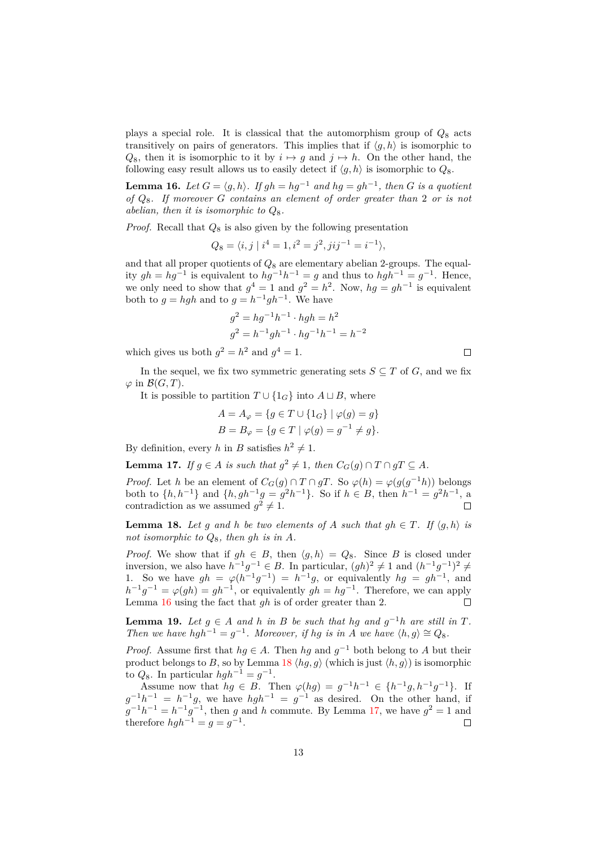plays a special role. It is classical that the automorphism group of *Q*<sup>8</sup> acts transitively on pairs of generators. This implies that if  $\langle g, h \rangle$  is isomorphic to  $Q_8$ , then it is isomorphic to it by  $i \mapsto q$  and  $j \mapsto h$ . On the other hand, the following easy result allows us to easily detect if  $\langle q, h \rangle$  is isomorphic to  $Q_8$ .

<span id="page-12-0"></span>**Lemma 16.** *Let*  $G = \langle g, h \rangle$ . If  $gh = hg^{-1}$  and  $hg = gh^{-1}$ , then G is a quotient *of Q*8*. If moreover G contains an element of order greater than* 2 *or is not abelian, then it is isomorphic to Q*8*.*

*Proof.* Recall that *Q*<sup>8</sup> is also given by the following presentation

$$
Q_8 = \langle i, j \mid i^4 = 1, i^2 = j^2, jij^{-1} = i^{-1} \rangle,
$$

and that all proper quotients of *Q*<sup>8</sup> are elementary abelian 2-groups. The equality  $gh = hg^{-1}$  is equivalent to  $hg^{-1}h^{-1} = g$  and thus to  $hgh^{-1} = g^{-1}$ . Hence, we only need to show that  $g^4 = 1$  and  $g^2 = h^2$ . Now,  $hg = gh^{-1}$  is equivalent both to  $g = hgh$  and to  $g = h^{-1}gh^{-1}$ . We have

$$
g^{2} = hg^{-1}h^{-1} \cdot hgh = h^{2}
$$
  
\n
$$
g^{2} = h^{-1}gh^{-1} \cdot hg^{-1}h^{-1} = h^{-2}
$$
  
\n
$$
g^{2} = h^{2} \text{ and } g^{4} = 1.
$$

which gives us both  $g^2 = h^2$  and  $g^4 = 1$ .

In the sequel, we fix two symmetric generating sets  $S \subseteq T$  of  $G$ , and we fix  $\varphi$  in  $\mathcal{B}(G,T)$ .

It is possible to partition  $T \cup \{1_G\}$  into  $A \sqcup B$ , where

$$
A = A_{\varphi} = \{ g \in T \cup \{1_G\} \mid \varphi(g) = g \}
$$
  

$$
B = B_{\varphi} = \{ g \in T \mid \varphi(g) = g^{-1} \neq g \}.
$$

By definition, every *h* in *B* satisfies  $h^2 \neq 1$ .

<span id="page-12-2"></span>**Lemma 17.** *If*  $g \in A$  *is such that*  $g^2 \neq 1$ *, then*  $C_G(g) \cap T \cap gT \subseteq A$ *.* 

*Proof.* Let *h* be an element of  $C_G(g) \cap T \cap gT$ . So  $\varphi(h) = \varphi(g(g^{-1}h))$  belongs both to  $\{h, h^{-1}\}\$ and  $\{h, gh^{-1}g = g^2h^{-1}\}\$ . So if  $h \in B$ , then  $h^{-1} = g^2h^{-1}$ , a contradiction as we assumed  $g^2 \neq 1$ .

<span id="page-12-1"></span>**Lemma 18.** Let g and h be two elements of A such that  $gh \in T$ . If  $\langle g, h \rangle$  is *not isomorphic to Q*8*, then gh is in A.*

*Proof.* We show that if  $gh \in B$ , then  $\langle g, h \rangle = Q_8$ . Since *B* is closed under inversion, we also have  $h^{-1}g^{-1} \in B$ . In particular,  $(gh)^2 \neq 1$  and  $(h^{-1}g^{-1})^2 \neq$ 1. So we have  $gh = \varphi(h^{-1}g^{-1}) = h^{-1}g$ , or equivalently  $hg = gh^{-1}$ , and  $h^{-1}g^{-1} = \varphi(gh) = gh^{-1}$ , or equivalently  $gh = hg^{-1}$ . Therefore, we can apply Lemma [16](#page-12-0) using the fact that *gh* is of order greater than 2.  $\Box$ 

<span id="page-12-3"></span>**Lemma 19.** *Let*  $g \in A$  *and*  $h$  *in*  $B$  *be such that*  $hg$  *and*  $g^{-1}h$  *are still in*  $T$ *. Then we have*  $hgh^{-1} = g^{-1}$ *. Moreover, if hg is in A we have*  $\langle h, g \rangle \cong Q_8$ *.* 

*Proof.* Assume first that  $hg \in A$ . Then  $hg$  and  $g^{-1}$  both belong to *A* but their product belongs to *B*, so by Lemma [18](#page-12-1)  $\langle hg, g \rangle$  (which is just  $\langle h, g \rangle$ ) is isomorphic to  $Q_8$ . In particular  $hgh^{-1} = g^{-1}$ .

Assume now that  $hg \in B$ . Then  $\varphi(hg) = g^{-1}h^{-1} \in \{h^{-1}g, h^{-1}g^{-1}\}$ . If  $g^{-1}h^{-1} = h^{-1}g$ , we have  $hgh^{-1} = g^{-1}$  as desired. On the other hand, if  $g^{-1}h^{-1} = h^{-1}g^{-1}$ , then *g* and *h* commute. By Lemma [17,](#page-12-2) we have  $g^2 = 1$  and therefore  $hgh^{-1} = g = g^{-1}$ .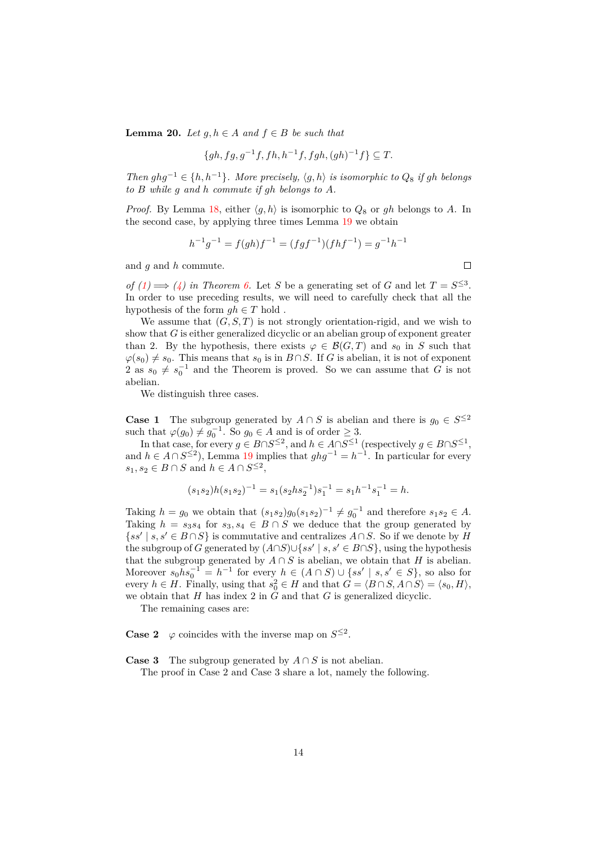<span id="page-13-0"></span>**Lemma 20.** *Let g, h* ∈ *A and f* ∈ *B be such that*

$$
\{gh, fg, g^{-1}f, fh, h^{-1}f, fgh, (gh)^{-1}f\} \subseteq T.
$$

*Then*  $ghg^{-1} \in \{h, h^{-1}\}\$ *. More precisely,*  $\langle g, h \rangle$  *is isomorphic to*  $Q_8$  *if gh belongs to B while g and h commute if gh belongs to A.*

*Proof.* By Lemma [18,](#page-12-1) either  $\langle g, h \rangle$  is isomorphic to  $Q_8$  or *gh* belongs to *A*. In the second case, by applying three times Lemma [19](#page-12-3) we obtain

$$
h^{-1}g^{-1} = f(gh)f^{-1} = (fgf^{-1})(fhf^{-1}) = g^{-1}h^{-1}
$$

and *g* and *h* commute.

*of*  $(1) \implies (4)$  $(1) \implies (4)$  $(1) \implies (4)$  *in Theorem [6.](#page-7-0)* Let *S* be a generating set of *G* and let  $T = S^{\leq 3}$ . In order to use preceding results, we will need to carefully check that all the hypothesis of the form  $gh \in T$  hold.

We assume that  $(G, S, T)$  is not strongly orientation-rigid, and we wish to show that *G* is either generalized dicyclic or an abelian group of exponent greater than 2. By the hypothesis, there exists  $\varphi \in \mathcal{B}(G,T)$  and  $s_0$  in *S* such that  $\varphi(s_0) \neq s_0$ . This means that  $s_0$  is in  $B \cap S$ . If *G* is abelian, it is not of exponent 2 as  $s_0 \neq s_0^{-1}$  and the Theorem is proved. So we can assume that *G* is not abelian.

We distinguish three cases.

**Case 1** The subgroup generated by  $A \cap S$  is abelian and there is  $g_0 \in S^{\leq 2}$ such that  $\varphi(g_0) \neq g_0^{-1}$ . So  $g_0 \in A$  and is of order  $\geq 3$ .

In that case, for every  $g \in B \cap S^{\leq 2}$ , and  $h \in A \cap S^{\leq 1}$  (respectively  $g \in B \cap S^{\leq 1}$ , and  $h \in A \cap S^{\leq 2}$ ), Lemma [19](#page-12-3) implies that  $ghg^{-1} = h^{-1}$ . In particular for every  $s_1, s_2 \in B \cap S$  and  $h \in A \cap S^{\leq 2}$ ,

$$
(s_1s_2)h(s_1s_2)^{-1} = s_1(s_2hs_2^{-1})s_1^{-1} = s_1h^{-1}s_1^{-1} = h.
$$

Taking  $h = g_0$  we obtain that  $(s_1 s_2) g_0 (s_1 s_2)^{-1} \neq g_0^{-1}$  and therefore  $s_1 s_2 \in A$ . Taking  $h = s_3 s_4$  for  $s_3, s_4 \in B \cap S$  we deduce that the group generated by  $\{ss' \mid s, s' \in B \cap S\}$  is commutative and centralizes  $A \cap S$ . So if we denote by *H* the subgroup of *G* generated by  $(A \cap S) \cup \{ss' \mid s, s' \in B \cap S\}$ , using the hypothesis that the subgroup generated by  $A \cap S$  is abelian, we obtain that *H* is abelian. Moreover  $s_0h s_0^{-1} = h^{-1}$  for every  $h \in (A \cap S) \cup \{ss' \mid s, s' \in S\}$ , so also for every  $h \in H$ . Finally, using that  $s_0^2 \in H$  and that  $G = \langle B \cap S, A \cap S \rangle = \langle s_0, H \rangle$ , we obtain that *H* has index 2 in *G* and that *G* is generalized dicyclic.

The remaining cases are:

**Case 2**  $\varphi$  coincides with the inverse map on  $S^{\leq 2}$ .

**Case 3** The subgroup generated by  $A \cap S$  is not abelian.

The proof in Case 2 and Case 3 share a lot, namely the following.

 $\Box$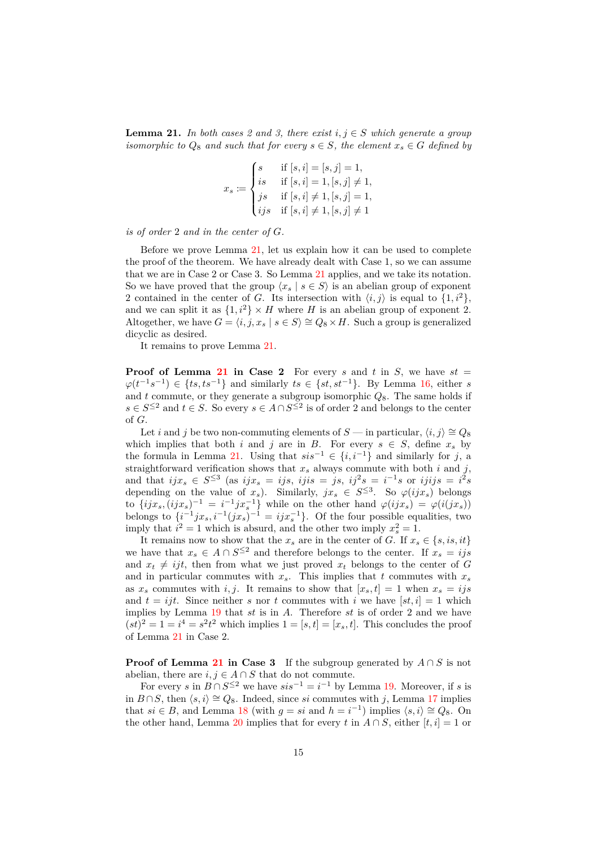<span id="page-14-0"></span>**Lemma 21.** *In both cases 2 and 3, there exist*  $i, j \in S$  *which generate a group isomorphic to*  $Q_8$  *and such that for every*  $s \in S$ *, the element*  $x_s \in G$  *defined by* 

$$
x_s := \begin{cases} s & \text{if } [s, i] = [s, j] = 1, \\ is & \text{if } [s, i] = 1, [s, j] \neq 1, \\ js & \text{if } [s, i] \neq 1, [s, j] = 1, \\ ijs & \text{if } [s, i] \neq 1, [s, j] \neq 1 \end{cases}
$$

*is of order* 2 *and in the center of G.*

Before we prove Lemma [21,](#page-14-0) let us explain how it can be used to complete the proof of the theorem. We have already dealt with Case 1, so we can assume that we are in Case 2 or Case 3. So Lemma [21](#page-14-0) applies, and we take its notation. So we have proved that the group  $\langle x_s | s \in S \rangle$  is an abelian group of exponent 2 contained in the center of *G*. Its intersection with  $\langle i, j \rangle$  is equal to  $\{1, i^2\}$ , and we can split it as  $\{1, i^2\} \times H$  where *H* is an abelian group of exponent 2. Altogether, we have  $G = \langle i, j, x_s | s \in S \rangle \cong Q_8 \times H$ . Such a group is generalized dicyclic as desired.

It remains to prove Lemma [21.](#page-14-0)

**Proof of Lemma [21](#page-14-0) in Case 2** For every *s* and *t* in *S*, we have  $st =$  $\varphi(t^{-1}s^{-1}) \in \{ts, ts^{-1}\}\$ and similarly  $ts \in \{st, st^{-1}\}\$ . By Lemma [16,](#page-12-0) either *s* and  $t$  commute, or they generate a subgroup isomorphic  $Q_8$ . The same holds if *s* ∈ *S*<sup>≤2</sup> and *t* ∈ *S*. So every *s* ∈ *A* ∩ *S*<sup>≤2</sup> is of order 2 and belongs to the center of *G*.

Let *i* and *j* be two non-commuting elements of *S* — in particular,  $\langle i, j \rangle \cong Q_8$ which implies that both *i* and *j* are in *B*. For every  $s \in S$ , define  $x_s$  by the formula in Lemma [21.](#page-14-0) Using that  $sis^{-1}$  ∈  $\{i, i^{-1}\}\$  and similarly for *j*, a straightforward verification shows that  $x_s$  always commute with both  $i$  and  $j$ , and that  $ijx_s \in S^{\leq 3}$  (as  $ijx_s = ijs$ ,  $ijis = js$ ,  $ij^2s = i^{-1}s$  or  $ijijs = i^2s$ depending on the value of  $x_s$ ). Similarly,  $jx_s \in S^{\leq 3}$ . So  $\varphi(i jx_s)$  belongs to  $\{ijx_s,(ijx_s)^{-1} = i^{-1}jx_s^{-1}\}$  while on the other hand  $\varphi(ijx_s) = \varphi(i(jx_s))$ belongs to  $\{i^{-1}jx_s, i^{-1}(jx_s)^{-1} = ijx_s^{-1}\}$ . Of the four possible equalities, two imply that  $i^2 = 1$  which is absurd, and the other two imply  $x_s^2 = 1$ .

It remains now to show that the  $x_s$  are in the center of *G*. If  $x_s \in \{s, is, it\}$ we have that  $x_s \in A \cap S^{\leq 2}$  and therefore belongs to the center. If  $x_s = ijs$ and  $x_t \neq ijt$ , then from what we just proved  $x_t$  belongs to the center of *G* and in particular commutes with  $x_s$ . This implies that  $t$  commutes with  $x_s$ as  $x_s$  commutes with *i, j*. It remains to show that  $[x_s, t] = 1$  when  $x_s = ijs$ and  $t = ijt$ . Since neither *s* nor *t* commutes with *i* we have  $[st, i] = 1$  which implies by Lemma [19](#page-12-3) that *st* is in *A*. Therefore *st* is of order 2 and we have  $(st)^2 = 1 = i^4 = s^2t^2$  which implies  $1 = [s, t] = [x_s, t]$ . This concludes the proof of Lemma [21](#page-14-0) in Case 2.

**Proof of Lemma [21](#page-14-0) in Case 3** If the subgroup generated by  $A \cap S$  is not abelian, there are  $i, j \in A \cap S$  that do not commute.

For every *s* in  $B \cap S^{\leq 2}$  we have  $sis^{-1} = i^{-1}$  by Lemma [19.](#page-12-3) Moreover, if *s* is in *B* ∩ *S*, then  $\langle s, i \rangle \cong Q_8$ . Indeed, since *si* commutes with *j*, Lemma [17](#page-12-2) implies that *si*  $\in$  *B*, and Lemma [18](#page-12-1) (with  $g = si$  and  $h = i^{-1}$ ) implies  $\langle s, i \rangle \cong Q_8$ . On the other hand, Lemma [20](#page-13-0) implies that for every *t* in  $A \cap S$ , either  $[t, i] = 1$  or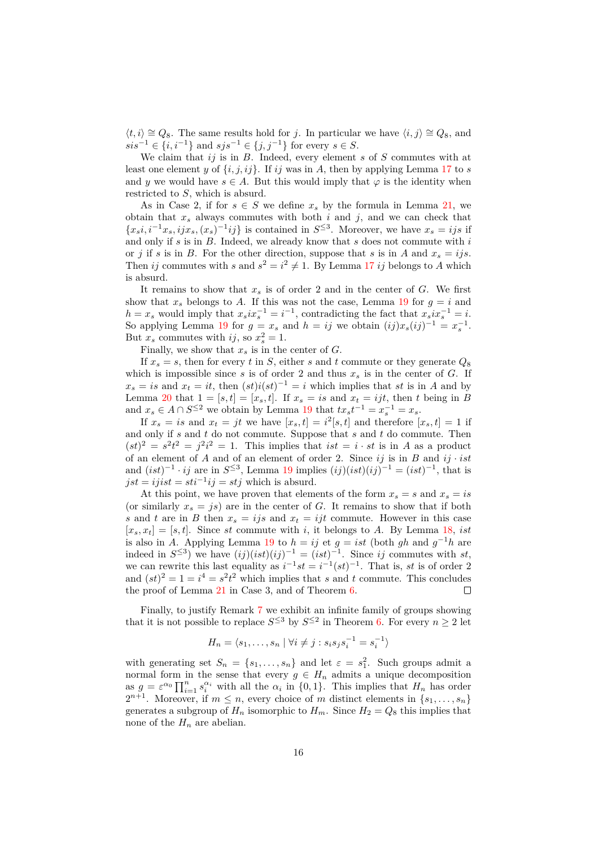$\langle t, i \rangle \cong Q_8$ . The same results hold for *j*. In particular we have  $\langle i, j \rangle \cong Q_8$ , and *sis*<sup> $-1$ </sup> ∈ {*i, i*<sup> $-1$ </sup>} and *sjs*<sup> $-1$ </sup> ∈ {*j, j*<sup> $-1$ </sup>} for every *s* ∈ *S*.

We claim that *ij* is in *B*. Indeed, every element *s* of *S* commutes with at least one element *y* of  $\{i, j, ij\}$ . If *ij* was in *A*, then by applying Lemma [17](#page-12-2) to *s* and *y* we would have  $s \in A$ . But this would imply that  $\varphi$  is the identity when restricted to *S*, which is absurd.

As in Case 2, if for  $s \in S$  we define  $x_s$  by the formula in Lemma [21,](#page-14-0) we obtain that  $x_s$  always commutes with both  $i$  and  $j$ , and we can check that  ${x<sub>s</sub>i, i<sup>-1</sup>x<sub>s</sub>, i j x<sub>s</sub>, (x<sub>s</sub>)<sup>-1</sup> i j}$  is contained in *S*<sup>≤3</sup>. Moreover, we have  $x<sub>s</sub> = i j s$  if and only if *s* is in *B*. Indeed, we already know that *s* does not commute with *i* or *j* if *s* is in *B*. For the other direction, suppose that *s* is in *A* and  $x_s = ijs$ . Then *ij* commutes with *s* and  $s^2 = i^2 \neq 1$ . By Lemma [17](#page-12-2) *ij* belongs to *A* which is absurd.

It remains to show that  $x_s$  is of order 2 and in the center of  $G$ . We first show that  $x_s$  belongs to *A*. If this was not the case, Lemma [19](#page-12-3) for  $q = i$  and  $h = x_s$  would imply that  $x_s i x_s^{-1} = i^{-1}$ , contradicting the fact that  $x_s i x_s^{-1} = i$ . So applying Lemma [19](#page-12-3) for  $g = x_s$  and  $h = ij$  we obtain  $(ij)x_s(ij)^{-1} = x_s^{-1}$ . But  $x_s$  commutes with  $ij$ , so  $x_s^2 = 1$ .

Finally, we show that  $x_s$  is in the center of  $G$ .

If  $x_s = s$ , then for every *t* in *S*, either *s* and *t* commute or they generate  $Q_8$ which is impossible since  $s$  is of order 2 and thus  $x_s$  is in the center of  $G$ . If  $x_s = is$  and  $x_t = it$ , then  $(st)i(st)^{-1} = i$  which implies that *st* is in *A* and by Lemma [20](#page-13-0) that  $1 = [s, t] = [x_s, t]$ . If  $x_s = is$  and  $x_t = ijt$ , then *t* being in *B* and  $x_s \in A \cap S^{\leq 2}$  we obtain by Lemma [19](#page-12-3) that  $tx_s t^{-1} = x_s^{-1} = x_s$ .

If  $x_s = is$  and  $x_t = jt$  we have  $[x_s, t] = i^2[s, t]$  and therefore  $[x_s, t] = 1$  if and only if *s* and *t* do not commute. Suppose that *s* and *t* do commute. Then  $(st)^2 = s^2t^2 = j^2i^2 = 1$ . This implies that  $ist = i \cdot st$  is in *A* as a product of an element of *A* and of an element of order 2. Since  $ij$  is in *B* and  $ij \cdot ist$ and  $(ist)^{-1} \cdot ij$  are in  $S^{\leq 3}$ , Lemma [19](#page-12-3) implies  $(ij)(ist)(ij)^{-1} = (ist)^{-1}$ , that is  $jst = ijist = sti^{-1}ij = stj$  which is absurd.

At this point, we have proven that elements of the form  $x_s = s$  and  $x_s = is$ (or similarly  $x_s = js$ ) are in the center of *G*. It remains to show that if both *s* and *t* are in *B* then  $x_s = ijs$  and  $x_t = ijt$  commute. However in this case  $[x_s, x_t] = [s, t]$ . Since *st* commute with *i*, it belongs to *A*. By Lemma [18,](#page-12-1) *ist* is also in *A*. Applying Lemma [19](#page-12-3) to  $h = ij$  et  $g = ist$  (both  $gh$  and  $g^{-1}h$  are indeed in  $S^{\leq 3}$ ) we have  $(ij)(ist)(ij)^{-1} = (ist)^{-1}$ . Since *ij* commutes with *st*, we can rewrite this last equality as  $i^{-1}st = i^{-1}(st)^{-1}$ . That is, *st* is of order 2 and  $(st)^2 = 1 = i^4 = s^2t^2$  which implies that *s* and *t* commute. This concludes the proof of Lemma [21](#page-14-0) in Case 3, and of Theorem [6.](#page-7-0)  $\Box$ 

Finally, to justify Remark [7](#page-8-3) we exhibit an infinite family of groups showing that it is not possible to replace  $S^{\leq 3}$  by  $S^{\leq 2}$  in Theorem [6.](#page-7-0) For every  $n \geq 2$  let

$$
H_n = \langle s_1, \dots, s_n \mid \forall i \neq j : s_i s_j s_i^{-1} = s_i^{-1} \rangle
$$

with generating set  $S_n = \{s_1, \ldots, s_n\}$  and let  $\varepsilon = s_1^2$ . Such groups admit a normal form in the sense that every  $g \in H_n$  admits a unique decomposition as  $g = \varepsilon^{\alpha_0} \prod_{i=1}^n s_i^{\alpha_i}$  with all the  $\alpha_i$  in {0, 1}. This implies that  $H_n$  has order  $2^{n+1}$ . Moreover, if  $m \leq n$ , every choice of *m* distinct elements in  $\{s_1, \ldots, s_n\}$ generates a subgroup of  $H_n$  isomorphic to  $H_m$ . Since  $H_2 = Q_8$  this implies that none of the  $H_n$  are abelian.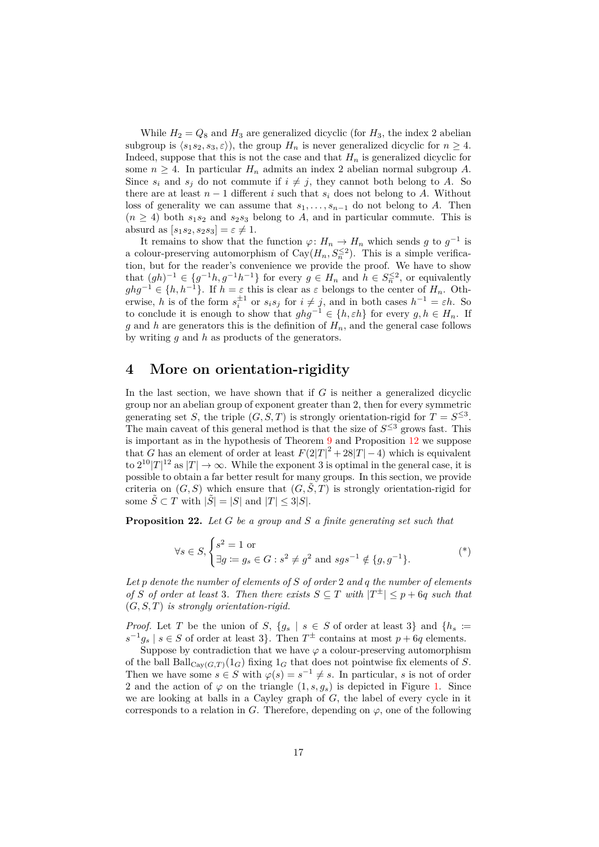While  $H_2 = Q_8$  and  $H_3$  are generalized dicyclic (for  $H_3$ , the index 2 abelian subgroup is  $\langle s_1 s_2, s_3, \varepsilon \rangle$ , the group  $H_n$  is never generalized dicyclic for  $n \geq 4$ . Indeed, suppose that this is not the case and that  $H_n$  is generalized dicyclic for some  $n \geq 4$ . In particular  $H_n$  admits an index 2 abelian normal subgroup A. Since  $s_i$  and  $s_j$  do not commute if  $i \neq j$ , they cannot both belong to *A*. So there are at least  $n-1$  different *i* such that  $s_i$  does not belong to *A*. Without loss of generality we can assume that *s*1*, . . . , sn*−<sup>1</sup> do not belong to *A*. Then  $(n \geq 4)$  both  $s_1s_2$  and  $s_2s_3$  belong to *A*, and in particular commute. This is absurd as  $[s_1s_2, s_2s_3] = \varepsilon \neq 1$ .

It remains to show that the function  $\varphi: H_n \to H_n$  which sends *g* to  $g^{-1}$  is a colour-preserving automorphism of  $Cay(H_n, S_n^{\leq 2})$ . This is a simple verification, but for the reader's convenience we provide the proof. We have to show that  $(gh)^{-1} \in \{g^{-1}h, g^{-1}h^{-1}\}\$  for every  $g \in H_n$  and  $h \in S_n^{\leq 2}$ , or equivalently  $ghg^{-1} \in \{h, h^{-1}\}\$ . If  $h = \varepsilon$  this is clear as  $\varepsilon$  belongs to the center of  $H_n$ . Otherwise, *h* is of the form  $s_i^{\pm 1}$  or  $s_i s_j$  for  $i \neq j$ , and in both cases  $h^{-1} = \varepsilon h$ . So to conclude it is enough to show that  $ghg^{-1} \in \{h, \varepsilon h\}$  for every  $g, h \in H_n$ . If *g* and *h* are generators this is the definition of  $H_n$ , and the general case follows by writing *g* and *h* as products of the generators.

### <span id="page-16-0"></span>**4 More on orientation-rigidity**

In the last section, we have shown that if *G* is neither a generalized dicyclic group nor an abelian group of exponent greater than 2, then for every symmetric generating set *S*, the triple  $(G, S, T)$  is strongly orientation-rigid for  $T = S^{\leq 3}$ . The main caveat of this general method is that the size of  $S^{\leq 3}$  grows fast. This is important as in the hypothesis of Theorem [9](#page-8-1) and Proposition [12](#page-9-1) we suppose that *G* has an element of order at least  $F(2|T|^2 + 28|T| - 4)$  which is equivalent to  $2^{10}|T|^{12}$  as  $|T| \to \infty$ . While the exponent 3 is optimal in the general case, it is possible to obtain a far better result for many groups. In this section, we provide criteria on  $(G, S)$  which ensure that  $(G, \tilde{S}, T)$  is strongly orientation-rigid for some  $\tilde{S} \subset T$  with  $|\tilde{S}| = |S|$  and  $|T| \leq 3|S|$ .

<span id="page-16-2"></span>**Proposition 22.** *Let G be a group and S a finite generating set such that*

<span id="page-16-1"></span>
$$
\forall s \in S, \begin{cases} s^2 = 1 \text{ or} \\ \exists g := g_s \in G : s^2 \neq g^2 \text{ and } sgs^{-1} \notin \{g, g^{-1}\}. \end{cases} (*)
$$

*Let p denote the number of elements of S of order* 2 *and q the number of elements of S of order at least* 3*. Then there exists*  $S \subseteq T$  *with*  $|T^{\pm}| \leq p + 6q$  *such that* (*G, S, T*) *is strongly orientation-rigid.*

*Proof.* Let *T* be the union of *S*,  ${g_s \mid s \in S}$  of order at least 3} and  ${h_s \coloneqq$  $s^{-1}g_s$  |  $s \in S$  of order at least 3}. Then  $T^{\pm}$  contains at most  $p + 6q$  elements.

Suppose by contradiction that we have  $\varphi$  a colour-preserving automorphism of the ball  $\text{Ball}_{\text{Cav}(G,T)}(1_G)$  fixing  $1_G$  that does not pointwise fix elements of *S*. Then we have some  $s \in S$  with  $\varphi(s) = s^{-1} \neq s$ . In particular, *s* is not of order 2 and the action of  $\varphi$  on the triangle  $(1, s, g_s)$  is depicted in Figure [1.](#page-17-0) Since we are looking at balls in a Cayley graph of *G*, the label of every cycle in it corresponds to a relation in *G*. Therefore, depending on  $\varphi$ , one of the following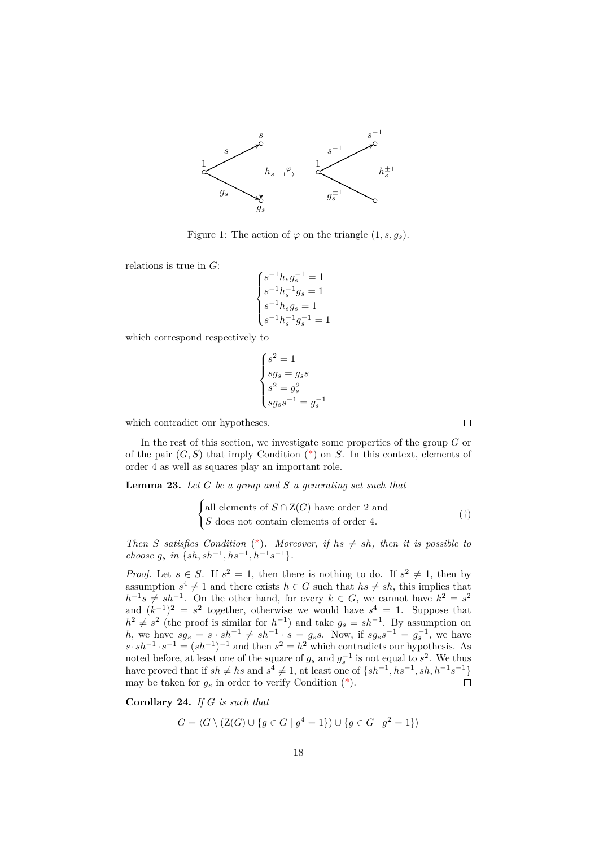

<span id="page-17-0"></span>Figure 1: The action of  $\varphi$  on the triangle  $(1, s, q_s)$ .

relations is true in *<sup>G</sup>*:

$$
\begin{cases} s^{-1}h_sg_s^{-1} = 1 \\ s^{-1}h_s^{-1}g_s = 1 \\ s^{-1}h_sg_s = 1 \\ s^{-1}h_s^{-1}g_s^{-1} = 1 \end{cases}
$$

which correspond respectively to

$$
\begin{cases}\ns^2 = 1\\ \nsg_s = g_s s\\ \ns^2 = g_s^2\\ \nsg_s s^{-1} = g_s^{-1}\n\end{cases}
$$

which contradict our hypotheses.

In the rest of this section, we investigate some properties of the group *G* or of the pair (*G, S*) that imply Condition [\(\\*\)](#page-16-1) on *S*. In this context, elements of order 4 as well as squares play an important role.

<span id="page-17-1"></span>**Lemma 23.** *Let G be a group and S a generating set such that*

$$
\begin{cases}\n\text{all elements of } S \cap \mathcal{Z}(G) \text{ have order 2 and} \\
S \text{ does not contain elements of order 4.} \n\end{cases} \tag{\dagger}
$$

*Then S satisfies Condition* [\(\\*\)](#page-16-1)*. Moreover, if*  $hs \neq sh$ *, then it is possible to choose*  $g_s$  *in*  $\{sh, sh^{-1}, hs^{-1}, h^{-1}s^{-1}\}.$ 

*Proof.* Let  $s \in S$ . If  $s^2 = 1$ , then there is nothing to do. If  $s^2 \neq 1$ , then by assumption  $s^4 \neq 1$  and there exists  $h \in G$  such that  $hs \neq sh$ , this implies that  $h^{-1}s \neq sh^{-1}$ . On the other hand, for every  $k \in G$ , we cannot have  $k^2 = s^2$ and  $(k^{-1})^2 = s^2$  together, otherwise we would have  $s^4 = 1$ . Suppose that  $h^2 \neq s^2$  (the proof is similar for  $h^{-1}$ ) and take  $g_s = sh^{-1}$ . By assumption on *h*, we have  $sg_s = s \cdot sh^{-1} \neq sh^{-1} \cdot s = g_s s$ . Now, if  $sg_s s^{-1} = g_s^{-1}$ , we have  $s \cdot sh^{-1} \cdot s^{-1} = (sh^{-1})^{-1}$  and then  $s^2 = h^2$  which contradicts our hypothesis. As noted before, at least one of the square of  $g_s$  and  $g_s^{-1}$  is not equal to  $s^2$ . We thus have proved that if  $sh \neq hs$  and  $s^4 \neq 1$ , at least one of  $\{sh^{-1}, hs^{-1}, sh, h^{-1} s^{-1}\}$ may be taken for  $g_s$  in order to verify Condition  $(*)$ .

**Corollary 24.** *If G is such that*

$$
G = \langle G \setminus (Z(G) \cup \{ g \in G \mid g^4 = 1 \} ) \cup \{ g \in G \mid g^2 = 1 \} \rangle
$$

<span id="page-17-2"></span> $\Box$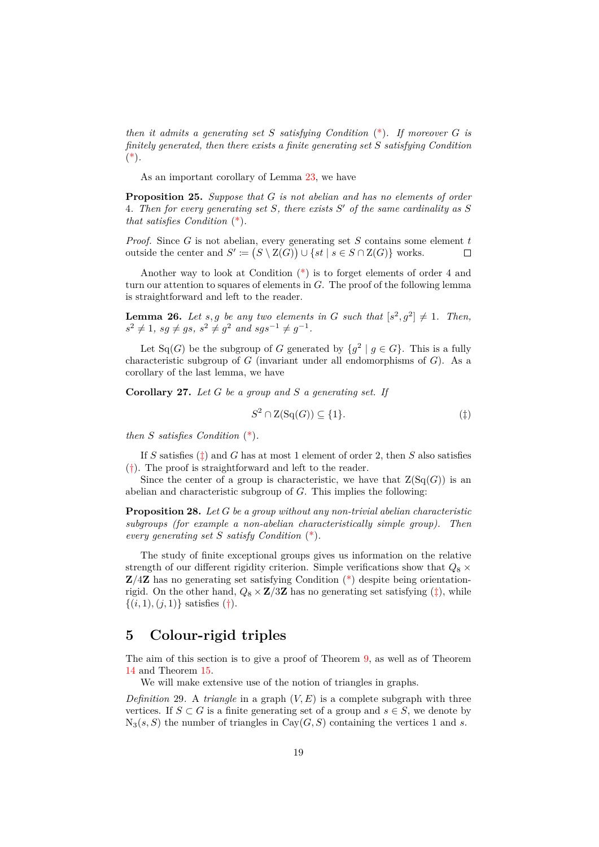*then it admits a generating set S satisfying Condition* [\(\\*\)](#page-16-1)*. If moreover G is finitely generated, then there exists a finite generating set S satisfying Condition* [\(\\*\)](#page-16-1)*.*

As an important corollary of Lemma [23,](#page-17-1) we have

**Proposition 25.** *Suppose that G is not abelian and has no elements of order* 4*. Then for every generating set S, there exists S* <sup>0</sup> *of the same cardinality as S that satisfies Condition* [\(\\*\)](#page-16-1)*.*

*Proof.* Since *G* is not abelian, every generating set *S* contains some element *t* outside the center and  $S' := (S \setminus Z(G)) \cup \{st \mid s \in S \cap Z(G)\}$  works.  $\Box$ 

Another way to look at Condition [\(\\*\)](#page-16-1) is to forget elements of order 4 and turn our attention to squares of elements in *G*. The proof of the following lemma is straightforward and left to the reader.

**Lemma 26.** Let *s*, *g* be any two elements in *G* such that  $[s^2, g^2] \neq 1$ . Then,  $s^2 \neq 1$ *,*  $sg \neq gs$ *,*  $s^2 \neq g^2$  and  $sgs^{-1} \neq g^{-1}$ *.* 

Let Sq(*G*) be the subgroup of *G* generated by  $\{g^2 \mid g \in G\}$ . This is a fully characteristic subgroup of *G* (invariant under all endomorphisms of *G*). As a corollary of the last lemma, we have

**Corollary 27.** *Let G be a group and S a generating set. If*

<span id="page-18-1"></span>
$$
S^2 \cap \mathcal{Z}(\mathcal{S}\mathcal{q}(G)) \subseteq \{1\}.\tag{\ddagger}
$$

*then S satisfies Condition* [\(\\*\)](#page-16-1)*.*

If *S* satisfies [\(‡\)](#page-18-1) and *G* has at most 1 element of order 2, then *S* also satisfies  $(\dagger)$ . The proof is straightforward and left to the reader.

Since the center of a group is characteristic, we have that  $Z(S<sub>G</sub>(G))$  is an abelian and characteristic subgroup of *G*. This implies the following:

**Proposition 28.** *Let G be a group without any non-trivial abelian characteristic subgroups (for example a non-abelian characteristically simple group). Then every generating set S satisfy Condition* [\(\\*\)](#page-16-1)*.*

The study of finite exceptional groups gives us information on the relative strength of our different rigidity criterion. Simple verifications show that  $Q_8 \times$ **Z***/*4**Z** has no generating set satisfying Condition [\(\\*\)](#page-16-1) despite being orientationrigid. On the other hand,  $Q_8 \times \mathbb{Z}/3\mathbb{Z}$  has no generating set satisfying  $(\ddagger)$ , while  $\{(i, 1), (j, 1)\}\$  satisfies  $(†).$  $(†).$ 

### <span id="page-18-0"></span>**5 Colour-rigid triples**

The aim of this section is to give a proof of Theorem [9,](#page-8-1) as well as of Theorem [14](#page-10-1) and Theorem [15.](#page-10-0)

We will make extensive use of the notion of triangles in graphs.

*Definition* 29. A *triangle* in a graph  $(V, E)$  is a complete subgraph with three vertices. If  $S \subset G$  is a finite generating set of a group and  $s \in S$ , we denote by  $N_3(s, S)$  the number of triangles in  $Cav(G, S)$  containing the vertices 1 and *s*.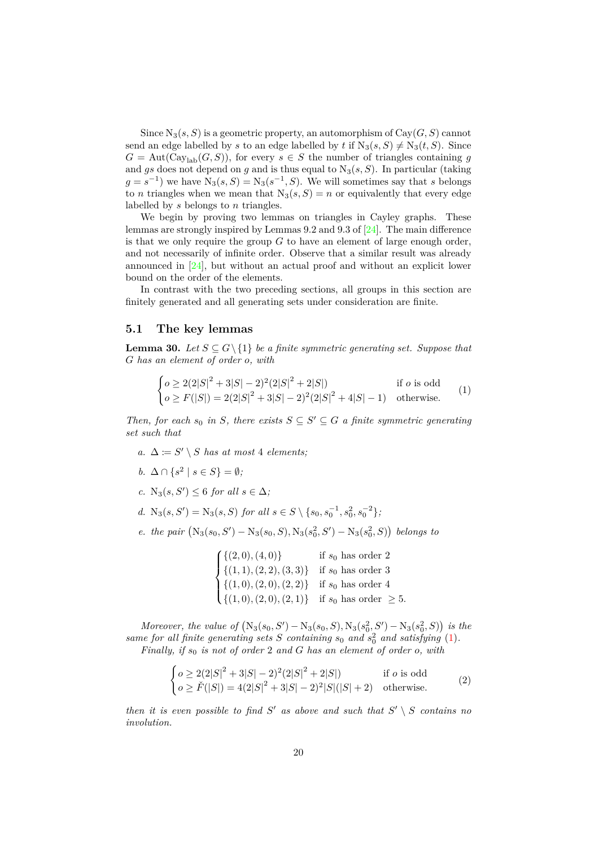Since  $N_3(s, S)$  is a geometric property, an automorphism of  $Cay(G, S)$  cannot send an edge labelled by *s* to an edge labelled by *t* if  $N_3(s, S) \neq N_3(t, S)$ . Since  $G = \text{Aut}(\text{Cay}_{\text{lab}}(G, S))$ , for every  $s \in S$  the number of triangles containing *g* and  $gs$  does not depend on  $g$  and is thus equal to  $N_3(s, S)$ . In particular (taking  $g = s^{-1}$ ) we have  $N_3(s, S) = N_3(s^{-1}, S)$ . We will sometimes say that *s* belongs to *n* triangles when we mean that  $N_3(s, S) = n$  or equivalently that every edge labelled by *s* belongs to *n* triangles.

We begin by proving two lemmas on triangles in Cayley graphs. These lemmas are strongly inspired by Lemmas 9.2 and 9.3 of [\[24\]](#page-29-8). The main difference is that we only require the group *G* to have an element of large enough order, and not necessarily of infinite order. Observe that a similar result was already announced in  $[24]$ , but without an actual proof and without an explicit lower bound on the order of the elements.

In contrast with the two preceding sections, all groups in this section are finitely generated and all generating sets under consideration are finite.

#### **5.1 The key lemmas**

<span id="page-19-0"></span>**Lemma 30.** *Let*  $S \subseteq G \setminus \{1\}$  *be a finite symmetric generating set. Suppose that G has an element of order o, with*

<span id="page-19-1"></span>
$$
\begin{cases}\n o \ge 2(2|S|^2 + 3|S| - 2)^2(2|S|^2 + 2|S|) & \text{if } o \text{ is odd} \\
 o \ge F(|S|) = 2(2|S|^2 + 3|S| - 2)^2(2|S|^2 + 4|S| - 1) & \text{otherwise.} \n\end{cases}
$$
\n(1)

*Then, for each*  $s_0$  *in S*, *there exists*  $S \subseteq S' \subseteq G$  *a finite symmetric generating set such that*

- <span id="page-19-2"></span>*a.*  $\Delta := S' \setminus S$  *has at most* 4 *elements*;
- <span id="page-19-3"></span>*b.*  $\Delta \cap \{s^2 \mid s \in S\} = ∅;$
- <span id="page-19-4"></span>*c.* N<sub>3</sub> $(s, S')$  ≤ 6 *for all*  $s \in \Delta$ *;*
- <span id="page-19-5"></span>*d.*  $N_3(s, S') = N_3(s, S)$  *for all*  $s \in S \setminus \{s_0, s_0^{-1}, s_0^2, s_0^{-2}\},$
- <span id="page-19-6"></span>*e. the pair*  $(N_3(s_0, S') - N_3(s_0, S), N_3(s_0^2, S') - N_3(s_0^2, S))$  *belongs to*

|                                                                                                                        | if $s_0$ has order 2          |
|------------------------------------------------------------------------------------------------------------------------|-------------------------------|
|                                                                                                                        | if $s_0$ has order 3          |
| $\begin{cases} \{(2,0),(4,0)\} \\ \{(1,1),(2,2),(3,3)\} \\ \{(1,0),(2,0),(2,2)\} \\ \{(1,0),(2,0),(2,1)\} \end{cases}$ | if $s_0$ has order 4          |
|                                                                                                                        | if $s_0$ has order $\geq 5$ . |

*Moreover, the value of*  $(N_3(s_0, S') - N_3(s_0, S), N_3(s_0^2, S') - N_3(s_0^2, S))$  is the same for all finite generating sets  $S$  containing  $s_0$  and  $s_0^2$  and satisfying [\(1\)](#page-19-1). *Finally, if*  $s_0$  *is not of order* 2 *and G has an element of order o, with* 

$$
\begin{cases}\n o \ge 2(2|S|^2 + 3|S| - 2)^2(2|S|^2 + 2|S|) & \text{if } o \text{ is odd} \\
 o \ge \check{F}(|S|) = 4(2|S|^2 + 3|S| - 2)^2|S|(|S| + 2) & \text{otherwise.} \n\end{cases}
$$
\n(2)

*then it is even possible to find*  $S'$  *as above and such that*  $S' \setminus S$  *contains no involution.*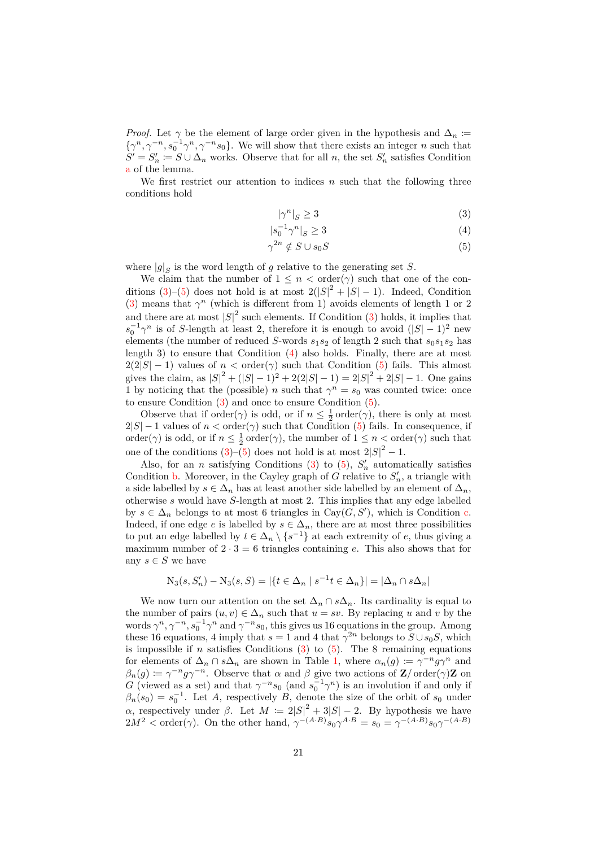*Proof.* Let  $\gamma$  be the element of large order given in the hypothesis and  $\Delta_n := {\gamma^n, \gamma^{-n}, s_0^{-1} \gamma^n, \gamma^{-n} s_0}$ . We will show that there exists an integer *n* such that  $\{\gamma^n, \gamma^{-n}, s_0^{-1}\gamma^n, \gamma^{-n}s_0\}$ . We will show that there exists an integer *n* such that  $S' = S'_n \coloneqq S \cup \Delta_n$  works. Observe that for all *n*, the set  $S'_n$  satisfies Condition [a](#page-19-2) of the lemma.

We first restrict our attention to indices *n* such that the following three conditions hold

<span id="page-20-2"></span><span id="page-20-1"></span><span id="page-20-0"></span>
$$
|\gamma^n|_S \ge 3\tag{3}
$$

$$
|s_0^{-1}\gamma^n|_S \ge 3\tag{4}
$$

$$
\gamma^{2n} \notin S \cup s_0 S \tag{5}
$$

where  $|g|_S$  is the word length of *g* relative to the generating set *S*.

We claim that the number of  $1 \leq n < \text{order}(\gamma)$  such that one of the conditions  $(3)-(5)$  $(3)-(5)$  $(3)-(5)$  does not hold is at most  $2(|S|^2 + |S| - 1)$ . Indeed, Condition [\(3\)](#page-20-0) means that  $\gamma^n$  (which is different from 1) avoids elements of length 1 or 2 and there are at most  $|S|^2$  such elements. If Condition [\(3\)](#page-20-0) holds, it implies that  $s_0^{-1}\gamma^n$  is of *S*-length at least 2, therefore it is enough to avoid  $(|S| - 1)^2$  new elements (the number of reduced *S*-words  $s_1s_2$  of length 2 such that  $s_0s_1s_2$  has length 3) to ensure that Condition [\(4\)](#page-20-2) also holds. Finally, there are at most  $2(2|S|-1)$  values of  $n < \text{order}(\gamma)$  such that Condition [\(5\)](#page-20-1) fails. This almost gives the claim, as  $|S|^2 + (|S| - 1)^2 + 2(2|S| - 1) = 2|S|^2 + 2|S| - 1$ . One gains 1 by noticing that the (possible) *n* such that  $\gamma^n = s_0$  was counted twice: once to ensure Condition [\(3\)](#page-20-0) and once to ensure Condition [\(5\)](#page-20-1).

Observe that if order( $\gamma$ ) is odd, or if  $n \leq \frac{1}{2}$  order( $\gamma$ ), there is only at most  $2|S| - 1$  values of  $n < \text{order}(\gamma)$  such that Condition [\(5\)](#page-20-1) fails. In consequence, if order( $\gamma$ ) is odd, or if  $n \leq \frac{1}{2}$  order( $\gamma$ ), the number of  $1 \leq n <$  order( $\gamma$ ) such that one of the conditions  $(3)-(5)$  $(3)-(5)$  $(3)-(5)$  does not hold is at most  $2|S|^2 - 1$ .

Also, for an *n* satisfying Conditions  $(3)$  to  $(5)$ ,  $S'_n$  automatically satisfies Condition **b**. Moreover, in the Cayley graph of *G* relative to  $S'_n$ , a triangle with a side labelled by  $s \in \Delta_n$  has at least another side labelled by an element of  $\Delta_n$ , otherwise *s* would have *S*-length at most 2. This implies that any edge labelled by  $s \in \Delta_n$  belongs to at most 6 triangles in Cay( $G, S'$ ), which is Condition [c.](#page-19-4) Indeed, if one edge *e* is labelled by  $s \in \Delta_n$ , there are at most three possibilities to put an edge labelled by  $t \in \Delta_n \setminus \{s^{-1}\}\$ at each extremity of *e*, thus giving a maximum number of  $2 \cdot 3 = 6$  triangles containing *e*. This also shows that for any  $s \in S$  we have

$$
N_3(s, S_n') - N_3(s, S) = |\{t \in \Delta_n \mid s^{-1}t \in \Delta_n\}| = |\Delta_n \cap s\Delta_n|
$$

We now turn our attention on the set  $\Delta_n \cap s\Delta_n$ . Its cardinality is equal to the number of pairs  $(u, v) \in \Delta_n$  such that  $u = sv$ . By replacing *u* and *v* by the words  $\gamma^n, \gamma^{-n}, s_0^{-1} \gamma^n$  and  $\gamma^{-n} s_0$ , this gives us 16 equations in the group. Among words  $\gamma$ ,  $\gamma$ ,  $\beta_0$ ,  $\gamma$  and  $\gamma$  s<sub>0</sub>, this gives us to equations in the group. Among these 16 equations, 4 imply that  $s = 1$  and 4 that  $\gamma^{2n}$  belongs to  $S \cup s_0S$ , which is impossible if *n* satisfies Conditions  $(3)$  to  $(5)$ . The 8 remaining equations for elements of  $\Delta_n \cap s\Delta_n$  are shown in Table [1,](#page-21-0) where  $\alpha_n(g) := \gamma^{-n} g \gamma^n$  and  $\beta_n(g) \coloneqq \gamma^{-n}g\gamma^{-n}$ . Observe that  $\alpha$  and  $\beta$  give two actions of **Z***/* order( $\gamma$ )**Z** on *G* (viewed as a set) and that  $\gamma^{-n} s_0$  (and  $s_0^{-1} \gamma^n$ ) is an involution if and only if  $\beta_n(s_0) = s_0^{-1}$ . Let *A*, respectively *B*, denote the size of the orbit of  $s_0$  under *α*, respectively under *β*. Let  $M := 2|S|^2 + 3|S| - 2$ . By hypothesis we have  $2M^2 < \text{order}(\gamma)$ . On the other hand,  $\gamma^{-(A \cdot B)} s_0 \gamma^{A \cdot B} = s_0 = \gamma^{-(A \cdot B)} s_0 \gamma^{-(A \cdot B)}$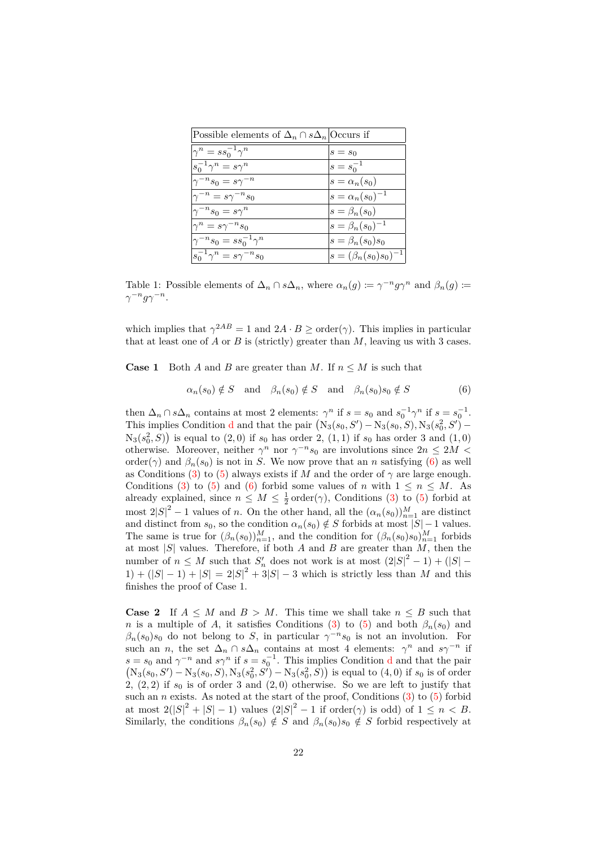| Possible elements of $\Delta_n \cap s\Delta_n$ Occurs if |                                |
|----------------------------------------------------------|--------------------------------|
| $\gamma^n = ss_0^{-1}\gamma^n$                           | $s = s_0$                      |
| $ s_0^{-1}\gamma^n = s\gamma^n$                          | $s = s_0^{-1}$                 |
| $ \gamma^{-n} s_0 = s \gamma^{-n}$                       | $s = \alpha_n(s_0)$            |
| $ \gamma^{-n}=s\gamma^{-n}s_0 $                          | $s = \alpha_n(s_0)^{-1}$       |
| $ \gamma^{-n}s_0=s\gamma^n$                              | $s = \beta_n(s_0)$             |
| $\gamma^n = s\gamma^{-n}s_0$                             | $s = \beta_n(s_0)^{-1}$        |
| $ \gamma^{-n} s_0 = s s_0^{-1} \gamma^n$                 | $s = \beta_n(s_0)s_0$          |
| $ s_0^{-1}\gamma^n = s\gamma^{-n}s_0$                    | $ s = (\beta_n(s_0)s_0)^{-1} $ |

<span id="page-21-0"></span>Table 1: Possible elements of  $\Delta_n \cap s\Delta_n$ , where  $\alpha_n(g) \coloneqq \gamma^{-n} g \gamma^n$  and  $\beta_n(g) \coloneqq$ *γ*<sup>−*n*</sup>*gγ*<sup>−*n*</sup>.

which implies that  $\gamma^{2AB} = 1$  and  $2A \cdot B \geq \text{order}(\gamma)$ . This implies in particular that at least one of *A* or *B* is (strictly) greater than *M*, leaving us with 3 cases.

**Case 1** Both *A* and *B* are greater than *M*. If  $n \leq M$  is such that

<span id="page-21-1"></span>
$$
\alpha_n(s_0) \notin S \quad \text{and} \quad \beta_n(s_0) \notin S \quad \text{and} \quad \beta_n(s_0) s_0 \notin S \tag{6}
$$

then  $\Delta_n \cap s\Delta_n$  contains at most 2 elements:  $\gamma^n$  if  $s = s_0$  and  $s_0^{-1}\gamma^n$  if  $s = s_0^{-1}$ . This implies Con[d](#page-19-5)ition **d** and that the pair  $(N_3(s_0, S') - N_3(s_0, S), N_3(s_0^2, S') N_3(s_0^2, S)$  is equal to  $(2, 0)$  if  $s_0$  has order 2,  $(1, 1)$  if  $s_0$  has order 3 and  $(1, 0)$ otherwise. Moreover, neither  $\gamma^n$  nor  $\gamma^{-n} s_0$  are involutions since  $2n \leq 2M$ order( $\gamma$ ) and  $\beta_n(s_0)$  is not in *S*. We now prove that an *n* satisfying [\(6\)](#page-21-1) as well as Conditions [\(3\)](#page-20-0) to [\(5\)](#page-20-1) always exists if *M* and the order of  $\gamma$  are large enough. Conditions [\(3\)](#page-20-0) to [\(5\)](#page-20-1) and [\(6\)](#page-21-1) forbid some values of *n* with  $1 \leq n \leq M$ . As already explained, since  $n \leq M \leq \frac{1}{2} \operatorname{order}(\gamma)$ , Conditions [\(3\)](#page-20-0) to [\(5\)](#page-20-1) forbid at most  $2|S|^2 - 1$  values of *n*. On the other hand, all the  $(\alpha_n(s_0))_{n=1}^M$  are distinct and distinct from  $s_0$ , so the condition  $\alpha_n(s_0) \notin S$  forbids at most  $|S| - 1$  values. The same is true for  $(\beta_n(s_0))_{n=1}^M$ , and the condition for  $(\beta_n(s_0)s_0)_{n=1}^M$  forbids at most  $|S|$  values. Therefore, if both *A* and *B* are greater than  $\widetilde{M}$ , then the number of  $n \leq M$  such that  $S'_n$  does not work is at most  $(2|S|^2 - 1) + (|S| - 1)$  $1) + (|S| - 1) + |S| = 2|S|^2 + 3|S| - 3$  which is strictly less than *M* and this finishes the proof of Case 1.

**Case 2** If  $A \leq M$  and  $B > M$ . This time we shall take  $n \leq B$  such that *n* is a multiple of *A*, it satisfies Conditions [\(3\)](#page-20-0) to [\(5\)](#page-20-1) and both  $\beta_n(s_0)$  and  $\beta_n(s_0)$ *s*<sub>0</sub> do not belong to *S*, in particular  $\gamma^{-n}s_0$  is not an involution. For such an *n*, the set  $\Delta_n \cap s\Delta_n$  contains at most 4 elements:  $\gamma^n$  and  $s\gamma^{-n}$  if  $s = s_0$  an[d](#page-19-5)  $\gamma^{-n}$  and  $s\gamma^n$  if  $s = s_0^{-1}$ . This implies Condition d and that the pair  $(N_3(s_0, S') - N_3(s_0, S), N_3(s_0^2, S') - N_3(s_0^2, S))$  is equal to  $(4, 0)$  if  $s_0$  is of order 2,  $(2, 2)$  if  $s_0$  is of order 3 and  $(2, 0)$  otherwise. So we are left to justify that such an  $n$  exists. As noted at the start of the proof, Conditions  $(3)$  to  $(5)$  forbid at most  $2(|S|^2 + |S| - 1)$  values  $(2|S|^2 - 1)$  if order( $\gamma$ ) is odd) of  $1 \le n < B$ . Similarly, the conditions  $\beta_n(s_0) \notin S$  and  $\beta_n(s_0) s_0 \notin S$  forbid respectively at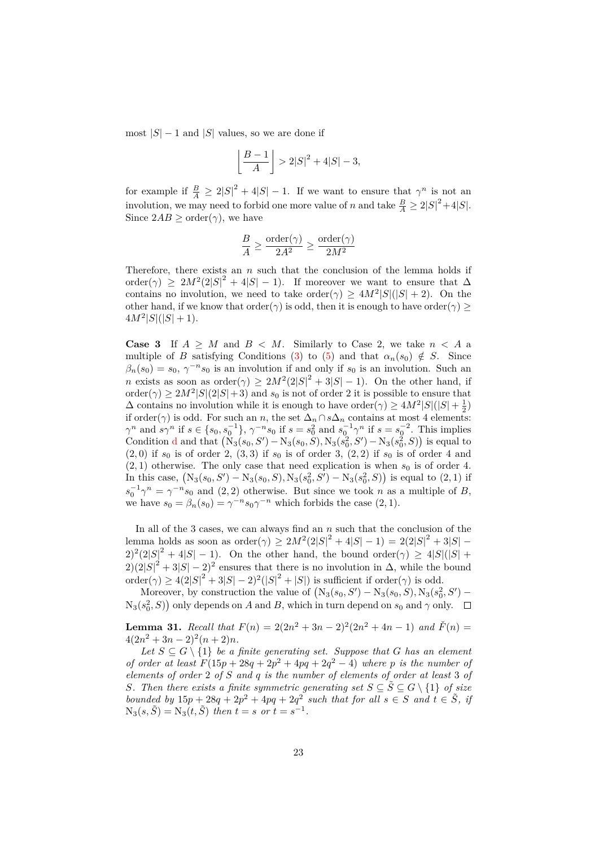most  $|S| - 1$  and  $|S|$  values, so we are done if

$$
\left\lfloor \frac{B-1}{A} \right\rfloor > 2|S|^2 + 4|S| - 3,
$$

for example if  $\frac{B}{A} \geq 2|S|^2 + 4|S| - 1$ . If we want to ensure that  $\gamma^n$  is not an involution, we may need to forbid one more value of *n* and take  $\frac{B}{A} \geq 2|S|^2 + 4|S|$ . Since  $2AB > \text{order}(\gamma)$ , we have

$$
\frac{B}{A} \ge \frac{\text{order}(\gamma)}{2A^2} \ge \frac{\text{order}(\gamma)}{2M^2}
$$

Therefore, there exists an *n* such that the conclusion of the lemma holds if order( $\gamma$ ) ≥ 2 $M^2(2|S|^2 + 4|S| - 1)$ . If moreover we want to ensure that  $\Delta$ contains no involution, we need to take order( $\gamma$ )  $\geq 4M^2|S|(|S|+2)$ . On the other hand, if we know that order( $\gamma$ ) is odd, then it is enough to have order( $\gamma$ ) >  $4M^2|S|(|S|+1)$ .

**Case 3** If  $A \geq M$  and  $B \leq M$ . Similarly to Case 2, we take  $n \leq A$  a multiple of *B* satisfying Conditions [\(3\)](#page-20-0) to [\(5\)](#page-20-1) and that  $\alpha_n(s_0) \notin S$ . Since  $\beta_n(s_0) = s_0, \, \gamma^{-n} s_0$  is an involution if and only if  $s_0$  is an involution. Such an *n* exists as soon as order $(\gamma) \geq 2M^2(2|S|^2 + 3|S| - 1)$ . On the other hand, if  $\text{order}(\gamma) \geq 2M^2|S|(2|S|+3)$  and  $s_0$  is not of order 2 it is possible to ensure that  $\Delta$  contains no involution while it is enough to have order( $\gamma$ )  $\geq 4M^2|S|(|S|+\frac{1}{2})$  $\Delta$  contains no involution with *n* is chough to nave order(*γ*)  $\geq 4M$  | $\beta$ |(| $\beta$ | +  $\frac{1}{2}$ )<br>if order(γ) is odd. For such an *n*, the set  $\Delta_n \cap s\Delta_n$  contains at most 4 elements:  $\gamma^n$  and  $s\gamma^n$  if  $s \in \{s_0, s_0^{-1}\}, \gamma^{-n}s_0$  if  $s = s_0^2$  and  $s_0^{-1}\gamma^n$  if  $s = s_0^{-2}$ . This implies Con[d](#page-19-5)ition d and that  $(N_3(s_0, S') - N_3(s_0, S), N_3(s_0^2, S') - N_3(s_0^2, S))$  is equal to  $(2,0)$  if  $s_0$  is of order 2,  $(3,3)$  if  $s_0$  is of order 3,  $(2,2)$  if  $s_0$  is of order 4 and  $(2, 1)$  otherwise. The only case that need explication is when  $s_0$  is of order 4. In this case,  $(N_3(s_0, S') - N_3(s_0, S), N_3(s_0^2, S') - N_3(s_0^2, S))$  is equal to  $(2, 1)$  if  $s_0^{-1}\gamma^n = \gamma^{-n}s_0$  and (2,2) otherwise. But since we took *n* as a multiple of *B*, we have  $s_0 = \beta_n(s_0) = \gamma^{-n} s_0 \gamma^{-n}$  which forbids the case  $(2, 1)$ .

In all of the 3 cases, we can always find an *n* such that the conclusion of the lemma holds as soon as  $\text{order}(\gamma) \ge 2M^2(2|S|^2 + 4|S| - 1) = 2(2|S|^2 + 3|S| - 1)$  $(2)^{2}(2|S|^{2} + 4|S| - 1)$ . On the other hand, the bound order( $\gamma$ )  $\geq 4|S|(|S| + 1)$  $2(2|S|^2 + 3|S| - 2)^2$  ensures that there is no involution in  $\Delta$ , while the bound order( $\gamma$ )  $\geq 4(2|S|^2 + 3|S| - 2)^2(|S|^2 + |S|)$  is sufficient if order( $\gamma$ ) is odd.

Moreover, by construction the value of  $(N_3(s_0, S') - N_3(s_0, S), N_3(s_0^2, S') N_3(s_0^2, S)$  only depends on *A* and *B*, which in turn depend on  $s_0$  and  $\gamma$  only.

<span id="page-22-0"></span>**Lemma 31.** Recall that  $F(n) = 2(2n^2 + 3n - 2)^2(2n^2 + 4n - 1)$  and  $\check{F}(n) =$  $4(2n^2+3n-2)^2(n+2)n$ .

Let  $S \subseteq G \setminus \{1\}$  *be a finite generating set. Suppose that G has an element of order at least*  $F(15p + 28q + 2p^2 + 4pq + 2q^2 - 4)$  where p is the number of *elements of order* 2 *of S and q is the number of elements of order at least* 3 *of S.* Then there exists a finite symmetric generating set  $S \subseteq \tilde{S} \subseteq G \setminus \{1\}$  *of size bounded by*  $15p + 28q + 2p^2 + 4pq + 2q^2$  *such that for all*  $s \in S$  *and*  $t \in \tilde{S}$ *, if*  $N_3(s, \tilde{S}) = N_3(t, \tilde{S})$  *then*  $t = s$  *or*  $t = s^{-1}$ *.*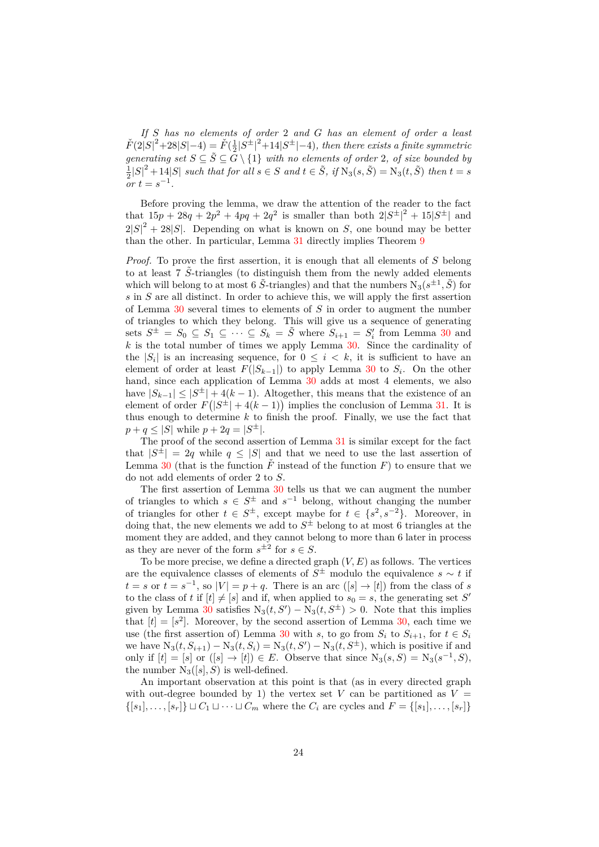*If S has no elements of order* 2 *and G has an element of order a least*  $\check{F}(2|S|^2 + 28|S| - 4) = \check{F}(\frac{1}{2}|S^{\pm}|^2 + 14|S^{\pm}| - 4)$ , then there exists a finite symmetric *generating set*  $S \subseteq \tilde{S} \subseteq G \setminus \{1\}$  *with no elements of order* 2*, of size bounded by*  $\frac{1}{2}|S|^2 + 14|S|$  such that for all  $s \in S$  and  $t \in \tilde{S}$ , if  $N_3(s, \tilde{S}) = N_3(t, \tilde{S})$  then  $t = s$  $\int$ *or*  $t = s^{-1}$ .

Before proving the lemma, we draw the attention of the reader to the fact that  $15p + 28q + 2p^2 + 4pq + 2q^2$  is smaller than both  $2|S^{\pm}|^2 + 15|S^{\pm}|$  and  $2|S|^2 + 28|S|$ . Depending on what is known on *S*, one bound may be better than the other. In particular, Lemma [31](#page-22-0) directly implies Theorem [9](#page-8-1)

*Proof.* To prove the first assertion, it is enough that all elements of *S* belong to at least  $7\tilde{\text{S}}$ -triangles (to distinguish them from the newly added elements which will belong to at most 6  $\tilde{S}$ -triangles) and that the numbers  $N_3(s^{\pm 1}, \tilde{S})$  for *s* in *S* are all distinct. In order to achieve this, we will apply the first assertion of Lemma [30](#page-19-0) several times to elements of *S* in order to augment the number of triangles to which they belong. This will give us a sequence of generating sets  $S^{\pm} = S_0 \subseteq S_1 \subseteq \cdots \subseteq S_k = \tilde{S}$  where  $S_{i+1} = S_i'$  from Lemma [30](#page-19-0) and *k* is the total number of times we apply Lemma [30.](#page-19-0) Since the cardinality of the  $|S_i|$  is an increasing sequence, for  $0 \leq i \leq k$ , it is sufficient to have an element of order at least  $F(|S_{k-1}|)$  to apply Lemma [30](#page-19-0) to  $S_i$ . On the other hand, since each application of Lemma [30](#page-19-0) adds at most 4 elements, we also have  $|S_{k-1}| \leq |S^{\pm}| + 4(k-1)$ . Altogether, this means that the existence of an element of order  $F(|S^{\pm}| + 4(k-1))$  implies the conclusion of Lemma [31.](#page-22-0) It is thus enough to determine  $k$  to finish the proof. Finally, we use the fact that  $p + q \leq |S|$  while  $p + 2q = |S^{\pm}|$ .

The proof of the second assertion of Lemma [31](#page-22-0) is similar except for the fact that  $|S^{\pm}| = 2q$  while  $q \leq |S|$  and that we need to use the last assertion of Lemma [30](#page-19-0) (that is the function  $\tilde{F}$  instead of the function  $F$ ) to ensure that we do not add elements of order 2 to *S*.

The first assertion of Lemma [30](#page-19-0) tells us that we can augment the number of triangles to which  $s \in S^{\pm}$  and  $s^{-1}$  belong, without changing the number of triangles for other  $t \in S^{\pm}$ , except maybe for  $t \in \{s^2, s^{-2}\}$ . Moreover, in doing that, the new elements we add to *S* <sup>±</sup> belong to at most 6 triangles at the moment they are added, and they cannot belong to more than 6 later in process as they are never of the form  $s^{\pm 2}$  for  $s \in S$ .

To be more precise, we define a directed graph (*V, E*) as follows. The vertices are the equivalence classes of elements of  $S^{\pm}$  modulo the equivalence  $s \sim t$  if  $t = s$  or  $t = s^{-1}$ , so  $|V| = p + q$ . There is an arc  $(|s| \rightarrow |t|)$  from the class of *s* to the class of *t* if  $[t] \neq [s]$  and if, when applied to  $s_0 = s$ , the generating set *S'* given by Lemma [30](#page-19-0) satisfies  $N_3(t, S') - N_3(t, S^{\pm}) > 0$ . Note that this implies that  $[t] = [s^2]$ . Moreover, by the second assertion of Lemma [30,](#page-19-0) each time we use (the first assertion of) Lemma [30](#page-19-0) with *s*, to go from  $S_i$  to  $S_{i+1}$ , for  $t \in S_i$ we have  $N_3(t, S_{i+1}) - N_3(t, S_i) = N_3(t, S') - N_3(t, S^{\pm})$ , which is positive if and only if  $[t] = [s]$  or  $([s] \to [t]) \in E$ . Observe that since  $N_3(s, S) = N_3(s^{-1}, S)$ , the number  $N_3([s], S)$  is well-defined.

An important observation at this point is that (as in every directed graph with out-degree bounded by 1) the vertex set  $V$  can be partitioned as  $V =$  $\{[s_1], \ldots, [s_r]\} \sqcup C_1 \sqcup \cdots \sqcup C_m$  where the  $C_i$  are cycles and  $F = \{[s_1], \ldots, [s_r]\}$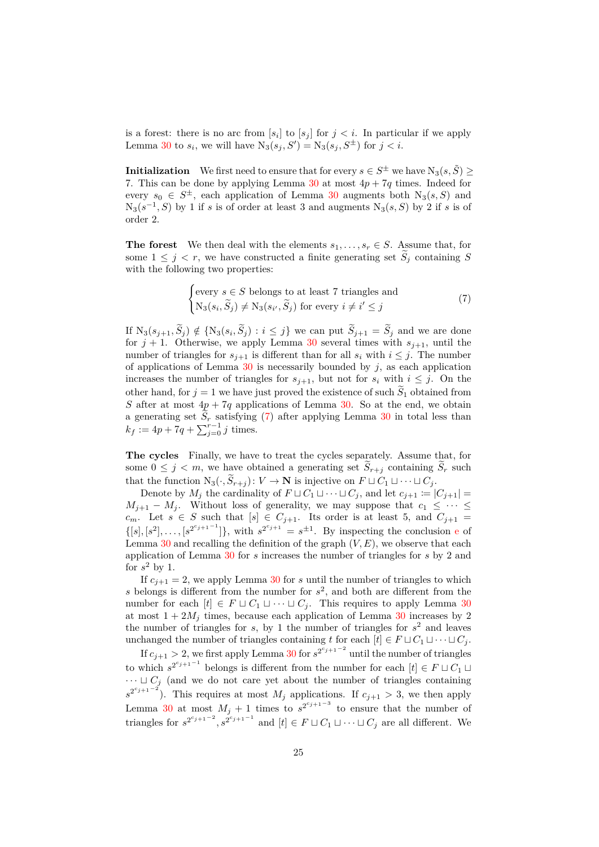is a forest: there is no arc from  $[s_i]$  to  $[s_j]$  for  $j < i$ . In particular if we apply Lemma [30](#page-19-0) to  $s_i$ , we will have  $N_3(s_j, S') = N_3(s_j, S^{\pm})$  for  $j < i$ .

**Initialization** We first need to ensure that for every  $s \in S^{\pm}$  we have  $N_3(s, \tilde{S}) \geq$ 7. This can be done by applying Lemma  $30$  at most  $4p + 7q$  times. Indeed for every  $s_0 \in S^{\pm}$ , each application of Lemma [30](#page-19-0) augments both  $N_3(s, S)$  and  $N_3(s^{-1}, S)$  by 1 if *s* is of order at least 3 and augments  $N_3(s, S)$  by 2 if *s* is of order 2.

**The forest** We then deal with the elements  $s_1, \ldots, s_r \in S$ . Assume that, for some  $1 \leq j \leq r$ , we have constructed a finite generating set  $S_i$  containing S with the following two properties:

<span id="page-24-0"></span>
$$
\begin{cases}\n\text{every } s \in S \text{ belongs to at least 7 triangles and} \\
N_3(s_i, \widetilde{S}_j) \neq N_3(s_{i'}, \widetilde{S}_j) \text{ for every } i \neq i' \leq j\n\end{cases} \tag{7}
$$

If  $N_3(s_{j+1}, S_j) \notin \{N_3(s_i, S_j) : i \leq j\}$  we can put  $S_{j+1} = S_j$  and we are done for  $j + 1$ . Otherwise, we apply Lemma [30](#page-19-0) several times with  $s_{j+1}$ , until the number of triangles for  $s_{j+1}$  is different than for all  $s_i$  with  $i \leq j$ . The number of applications of Lemma  $30$  is necessarily bounded by  $j$ , as each application increases the number of triangles for  $s_{j+1}$ , but not for  $s_i$  with  $i \leq j$ . On the other hand, for  $j = 1$  we have just proved the existence of such  $S_1$  obtained from *S* after at most  $4p + 7q$  applications of Lemma [30.](#page-19-0) So at the end, we obtain a generating set  $S_r$  satisfying [\(7\)](#page-24-0) after applying Lemma [30](#page-19-0) in total less than  $k_f := 4p + 7q + \sum_{j=0}^{r-1} j$  times.

**The cycles** Finally, we have to treat the cycles separately. Assume that, for some  $0 \leq j \leq m$ , we have obtained a generating set  $\widetilde{S}_{r+j}$  containing  $\widetilde{S}_r$  such that the function  $N_3(\cdot, \widetilde{S}_{r+i})$ :  $V \to \mathbf{N}$  is injective on  $F \sqcup C_1 \sqcup \cdots \sqcup C_i$ .

Denote by  $M_j$  the cardinality of  $F \sqcup C_1 \sqcup \cdots \sqcup C_j$ , and let  $c_{j+1} := |C_{j+1}| =$  $M_{j+1} - M_j$ . Without loss of generality, we may suppose that  $c_1 \leq \cdots \leq$ *c*<sub>*m*</sub>. Let *s*  $\in$  *S* such that  $[s] \in C_{j+1}$ . Its order is at least 5, and  $C_{j+1}$  =  $\{ [s], [s^2], \ldots, [s^{2^{c_{j+1}-1}}] \}$ , with  $s^{2^{c_{j+1}}} = s^{\pm 1}$ . By insp[e](#page-19-6)cting the conclusion e of Lemma  $30$  and recalling the definition of the graph  $(V, E)$ , we observe that each application of Lemma [30](#page-19-0) for *s* increases the number of triangles for *s* by 2 and for  $s^2$  by 1.

If  $c_{i+1} = 2$ , we apply Lemma [30](#page-19-0) for *s* until the number of triangles to which s belongs is different from the number for  $s^2$ , and both are different from the number for each  $[t] \in F \sqcup C_1 \sqcup \cdots \sqcup C_j$ . This requires to apply Lemma [30](#page-19-0) at most  $1 + 2M_j$  times, because each application of Lemma [30](#page-19-0) increases by 2 the number of triangles for  $s$ , by 1 the number of triangles for  $s<sup>2</sup>$  and leaves unchanged the number of triangles containing *t* for each  $[t] \in F \sqcup C_1 \sqcup \cdots \sqcup C_j$ .

If  $c_{j+1} > 2$ , we first apply Lemma [30](#page-19-0) for  $s^{2^{c_{j+1}-2}}$  until the number of triangles to which  $s^{2^{c_{j+1}-1}}$  belongs is different from the number for each  $[t] \in F \cup C_1 \cup$  $\cdots \sqcup C_j$  (and we do not care yet about the number of triangles containing  $s^{2^{c_{j+1}-2}}$ ). This requires at most *M<sub>j</sub>* applications. If  $c_{j+1} > 3$ , we then apply Lemma [30](#page-19-0) at most  $M_j + 1$  times to  $s^{2^{c_j+1}-3}$  to ensure that the number of triangles for  $s^{2^{c_{j+1}-2}}$ ,  $s^{2^{c_{j+1}-1}}$  and  $[t] \in F \sqcup C_1 \sqcup \cdots \sqcup C_j$  are all different. We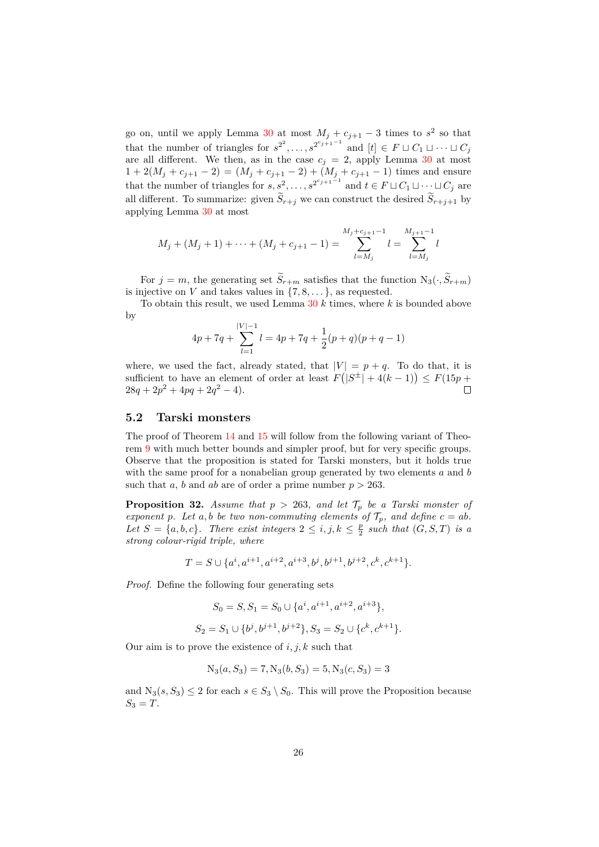go on, until we apply Lemma [30](#page-19-0) at most  $M_j + c_{j+1} - 3$  times to  $s^2$  so that that the number of triangles for  $s^{2^2}, \ldots, s^{2^{c_{j+1}-1}}$  and  $[t] \in F \sqcup C_1 \sqcup \cdots \sqcup C_j$ are all different. We then, as in the case  $c_i = 2$ , apply Lemma [30](#page-19-0) at most  $1 + 2(M_j + c_{j+1} - 2) = (M_j + c_{j+1} - 2) + (M_j + c_{j+1} - 1)$  times and ensure that the number of triangles for  $s, s^2, \ldots, s^{2^{c_j+1}-1}$  and  $t \in F \sqcup C_1 \sqcup \cdots \sqcup C_j$  are all different. To summarize: given  $\widetilde{S}_{r+j}$  we can construct the desired  $\widetilde{S}_{r+j+1}$  by applying Lemma [30](#page-19-0) at most

$$
M_j + (M_j + 1) + \dots + (M_j + c_{j+1} - 1) = \sum_{l=M_j}^{M_j + c_{j+1} - 1} l = \sum_{l=M_j}^{M_{j+1} - 1} l
$$

For  $j = m$ , the generating set  $\widetilde{S}_{r+m}$  satisfies that the function  $N_3(\cdot, \widetilde{S}_{r+m})$ is injective on *V* and takes values in  $\{7, 8, \ldots\}$ , as requested.

To obtain this result, we used Lemma [30](#page-19-0) *k* times, where *k* is bounded above by

$$
4p + 7q + \sum_{l=1}^{|V|-1} l = 4p + 7q + \frac{1}{2}(p+q)(p+q-1)
$$

where, we used the fact, already stated, that  $|V| = p + q$ . To do that, it is sufficient to have an element of order at least  $F(|S^{\pm}| + 4(k-1)) \leq F(15p +$  $28q + 2p^2 + 4pq + 2q^2 - 4$ .  $\Box$ 

#### **5.2 Tarski monsters**

The proof of Theorem [14](#page-10-1) and [15](#page-10-0) will follow from the following variant of Theorem [9](#page-8-1) with much better bounds and simpler proof, but for very specific groups. Observe that the proposition is stated for Tarski monsters, but it holds true with the same proof for a nonabelian group generated by two elements *a* and *b* such that *a*, *b* and *ab* are of order a prime number  $p > 263$ .

<span id="page-25-0"></span>**Proposition 32.** Assume that  $p > 263$ , and let  $\mathcal{T}_p$  be a Tarski monster of *exponent p. Let a,b be two non-commuting elements of*  $\mathcal{T}_p$ *, and define*  $c = ab$ *.* Let  $S = \{a, b, c\}$ . There exist integers  $2 \leq i, j, k \leq \frac{p}{2}$  such that  $(G, S, T)$  is a *strong colour-rigid triple, where*

$$
T = S \cup \{a^i, a^{i+1}, a^{i+2}, a^{i+3}, b^j, b^{j+1}, b^{j+2}, c^k, c^{k+1}\}.
$$

*Proof.* Define the following four generating sets

$$
S_0 = S, S_1 = S_0 \cup \{a^i, a^{i+1}, a^{i+2}, a^{i+3}\},
$$
  

$$
S_2 = S_1 \cup \{b^j, b^{j+1}, b^{j+2}\}, S_3 = S_2 \cup \{c^k, c^{k+1}\}.
$$

Our aim is to prove the existence of *i, j, k* such that

$$
N_3(a, S_3) = 7, N_3(b, S_3) = 5, N_3(c, S_3) = 3
$$

and  $N_3(s, S_3) \leq 2$  for each  $s \in S_3 \setminus S_0$ . This will prove the Proposition because  $S_3 = T$ .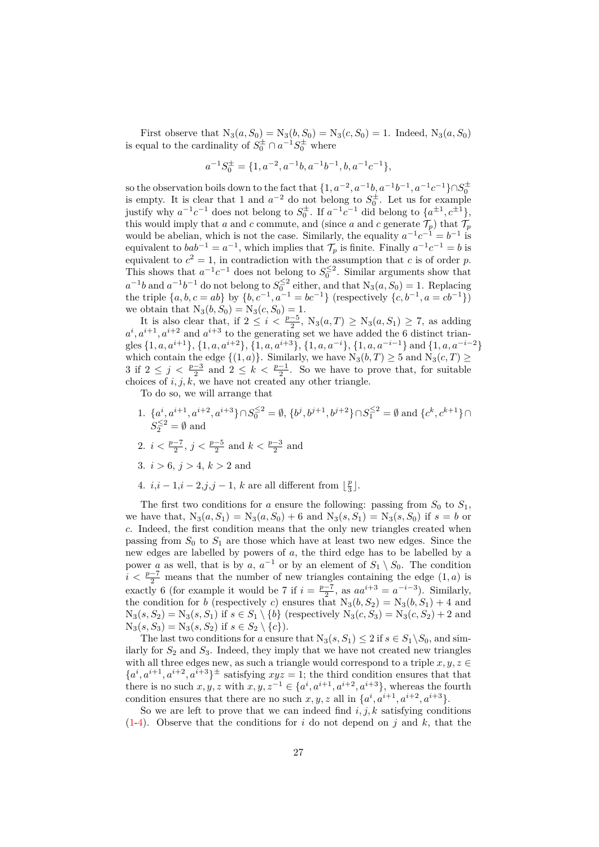First observe that  $N_3(a, S_0) = N_3(b, S_0) = N_3(c, S_0) = 1$ . Indeed,  $N_3(a, S_0)$ is equal to the cardinality of  $S_0^{\pm} \cap a^{-1}S_0^{\pm}$  where

$$
a^{-1}S_0^{\pm}=\{1,a^{-2},a^{-1}b,a^{-1}b^{-1},b,a^{-1}c^{-1}\},
$$

so the observation boils down to the fact that  $\{1, a^{-2}, a^{-1}b, a^{-1}b^{-1}, a^{-1}c^{-1}\} \cap S_0^{\pm}$ is empty. It is clear that 1 and  $a^{-2}$  do not belong to  $S_0^{\pm}$ . Let us for example justify why  $a^{-1}c^{-1}$  does not belong to  $S_0^{\pm}$ . If  $a^{-1}c^{-1}$  did belong to  $\{a^{\pm 1}, c^{\pm 1}\},$ this would imply that *a* and *c* commute, and (since *a* and *c* generate  $\mathcal{T}_p$ ) that  $\mathcal{T}_p$ would be abelian, which is not the case. Similarly, the equality  $a^{-1}c^{-1} = b^{-1}$  is equivalent to  $bab^{-1} = a^{-1}$ , which implies that  $\mathcal{T}_p$  is finite. Finally  $a^{-1}c^{-1} = b$  is equivalent to  $c^2 = 1$ , in contradiction with the assumption that *c* is of order *p*. This shows that  $a^{-1}c^{-1}$  does not belong to  $S_0^{\leq 2}$ . Similar arguments show that  $a^{-1}b$  and  $a^{-1}b^{-1}$  do not belong to  $S_0^{\leq 2}$  either, and that  $N_3(a, S_0) = 1$ . Replacing the triple  $\{a, b, c = ab\}$  by  $\{b, c^{-1}, a^{-1} = bc^{-1}\}$  (respectively  $\{c, b^{-1}, a = cb^{-1}\}$ ) we obtain that  $N_3(b, S_0) = N_3(c, S_0) = 1$ .

It is also clear that, if  $2 \leq i < \frac{p-5}{2}$ ,  $N_3(a,T) \geq N_3(a, S_1) \geq 7$ , as adding  $a^i, a^{i+1}, a^{i+2}$  and  $a^{i+3}$  to the generating set we have added the 6 distinct triangles {1*, a, ai*+1}, {1*, a, ai*+2}, {1*, a, ai*+3}, {1*, a, a*<sup>−</sup>*i*}, {1*, a, a*<sup>−</sup>*i*−1} and {1*, a, a*<sup>−</sup>*i*−2} which contain the edge  $\{(1, a)\}$ . Similarly, we have  $N_3(b, T) \ge 5$  and  $N_3(c, T) \ge$ 3 if  $2 \leq j \leq \frac{p-3}{2}$  and  $2 \leq k \leq \frac{p-1}{2}$ . So we have to prove that, for suitable choices of  $i, j, k$ , we have not created any other triangle.

To do so, we will arrange that

- <span id="page-26-0"></span>1.  $\{a^i, a^{i+1}, a^{i+2}, a^{i+3}\} \cap S_0^{\leq 2} = \emptyset$ ,  $\{b^j, b^{j+1}, b^{j+2}\} \cap S_1^{\leq 2} = \emptyset$  and  $\{c^k, c^{k+1}\} \cap$  $S_2^{\leq 2} = \emptyset$  and
- <span id="page-26-2"></span>2.  $i < \frac{p-7}{2}$ ,  $j < \frac{p-5}{2}$  and  $k < \frac{p-3}{2}$  and
- 3.  $i > 6$ ,  $j > 4$ ,  $k > 2$  and
- <span id="page-26-1"></span>4.  $i, i - 1, i - 2, j, j - 1, k$  are all different from  $\lfloor \frac{p}{3} \rfloor$ .

The first two conditions for *a* ensure the following: passing from  $S_0$  to  $S_1$ , we have that,  $N_3(a, S_1) = N_3(a, S_0) + 6$  and  $N_3(s, S_1) = N_3(s, S_0)$  if  $s = b$  or *c*. Indeed, the first condition means that the only new triangles created when passing from  $S_0$  to  $S_1$  are those which have at least two new edges. Since the new edges are labelled by powers of *a*, the third edge has to be labelled by a power *a* as well, that is by *a*,  $a^{-1}$  or by an element of  $S_1 \setminus S_0$ . The condition  $i < \frac{p-7}{2}$  means that the number of new triangles containing the edge (1*, a*) is exactly 6 (for example it would be 7 if  $i = \frac{p-7}{2}$ , as  $aa^{i+3} = a^{-i-3}$ ). Similarly, the condition for *b* (respectively *c*) ensures that  $N_3(b, S_2) = N_3(b, S_1) + 4$  and  $N_3(s, S_2) = N_3(s, S_1)$  if  $s \in S_1 \setminus \{b\}$  (respectively  $N_3(c, S_3) = N_3(c, S_2) + 2$  and  $N_3(s, S_3) = N_3(s, S_2)$  if  $s \in S_2 \setminus \{c\}$ .

The last two conditions for *a* ensure that  $N_3(s, S_1) \leq 2$  if  $s \in S_1 \backslash S_0$ , and similarly for  $S_2$  and  $S_3$ . Indeed, they imply that we have not created new triangles with all three edges new, as such a triangle would correspond to a triple  $x, y, z \in$  ${a^i, a^{i+1}, a^{i+2}, a^{i+3}}^{\pm}$  satisfying  $xyz = 1$ ; the third condition ensures that that there is no such  $x, y, z$  with  $x, y, z^{-1} \in \{a^i, a^{i+1}, a^{i+2}, a^{i+3}\}\$ , whereas the fourth condition ensures that there are no such  $x, y, z$  all in  $\{a^i, a^{i+1}, a^{i+2}, a^{i+3}\}.$ 

So we are left to prove that we can indeed find  $i, j, k$  satisfying conditions [\(1-](#page-26-0)[4\)](#page-26-1). Observe that the conditions for *i* do not depend on *j* and *k*, that the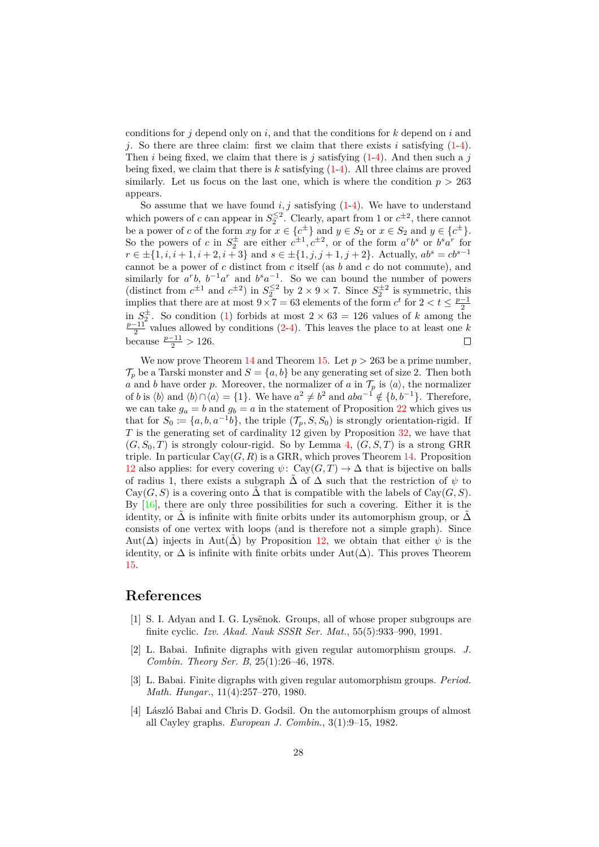conditions for *j* depend only on *i*, and that the conditions for *k* depend on *i* and *j*. So there are three claim: first we claim that there exists *i* satisfying [\(1-](#page-26-0)[4\)](#page-26-1). Then *i* being fixed, we claim that there is *j* satisfying [\(1-](#page-26-0)[4\)](#page-26-1). And then such a *j* being fixed, we claim that there is *k* satisfying [\(1-](#page-26-0)[4\)](#page-26-1). All three claims are proved similarly. Let us focus on the last one, which is where the condition  $p > 263$ appears.

So assume that we have found  $i, j$  satisfying  $(1-4)$  $(1-4)$ . We have to understand which powers of *c* can appear in  $S_2^{\leq 2}$ . Clearly, apart from 1 or  $c^{\pm 2}$ , there cannot be a power of *c* of the form  $xy$  for  $x \in \{c^{\pm}\}\$  and  $y \in S_2$  or  $x \in S_2$  and  $y \in \{c^{\pm}\}\$ . So the powers of *c* in  $S_2^{\pm}$  are either  $c^{\pm 1}$ ,  $c^{\pm 2}$ , or of the form  $a^rb^s$  or  $b^sa^r$  for *r* ∈  $\pm$ {1*, i, i* + 1*, i* + 2*, i* + 3} and *s* ∈  $\pm$ {1*, j, j* + 1*, j* + 2}. Actually,  $ab^s = cb^{s-1}$ cannot be a power of *c* distinct from *c* itself (as *b* and *c* do not commute), and similarly for  $a^rb$ ,  $b^{-1}a^r$  and  $b^sa^{-1}$ . So we can bound the number of powers (distinct from  $c^{\pm 1}$  and  $c^{\pm 2}$ ) in  $S_2^{\leq 2}$  by  $2 \times 9 \times 7$ . Since  $S_2^{\pm 2}$  is symmetric, this implies that there are at most  $9 \times 7 = 63$  elements of the form  $c^t$  for  $2 < t \leq \frac{p-1}{2}$ in  $S_2^{\pm}$ . So condition [\(1\)](#page-26-0) forbids at most  $2 \times 63 = 126$  values of *k* among the  $\frac{p-11}{2}$  values allowed by conditions [\(2](#page-26-2)[-4\)](#page-26-1). This leaves the place to at least one *k* because  $\frac{p-11}{2} > 126$ .  $\Box$ 

We now prove Theorem [14](#page-10-1) and Theorem [15.](#page-10-0) Let  $p > 263$  be a prime number,  $\mathcal{T}_p$  be a Tarski monster and  $S = \{a, b\}$  be any generating set of size 2. Then both *a* and *b* have order *p*. Moreover, the normalizer of *a* in  $\mathcal{T}_p$  is  $\langle a \rangle$ , the normalizer of *b* is  $\langle b \rangle$  and  $\langle b \rangle \cap \langle a \rangle = \{1\}$ . We have  $a^2 \neq b^2$  and  $aba^{-1} \notin \{b, b^{-1}\}$ . Therefore, we can take  $g_a = b$  and  $g_b = a$  in the statement of Proposition [22](#page-16-2) which gives us that for  $S_0 \coloneqq \{a, b, a^{-1}b\}$ , the triple  $(\mathcal{T}_p, S, S_0)$  is strongly orientation-rigid. If *T* is the generating set of cardinality 12 given by Proposition [32,](#page-25-0) we have that  $(G, S_0, T)$  is strongly colour-rigid. So by Lemma [4,](#page-6-1)  $(G, S, T)$  is a strong GRR triple. In particular  $Cay(G, R)$  is a GRR, which proves Theorem [14.](#page-10-1) Proposition [12](#page-9-1) also applies: for every covering  $\psi$ : Cay $(G, T) \to \Delta$  that is bijective on balls of radius 1, there exists a subgraph  $\tilde{\Delta}$  of  $\Delta$  such that the restriction of  $\psi$  to Cay(*G*, *S*) is a covering onto  $\Delta$  that is compatible with the labels of Cay(*G*, *S*). By  $[16]$ , there are only three possibilities for such a covering. Either it is the identity, or  $\Delta$  is infinite with finite orbits under its automorphism group, or  $\Delta$ consists of one vertex with loops (and is therefore not a simple graph). Since Aut( $\Delta$ ) injects in Aut( $\Delta$ ) by Proposition [12,](#page-9-1) we obtain that either  $\psi$  is the identity, or  $\Delta$  is infinite with finite orbits under Aut( $\Delta$ ). This proves Theorem [15.](#page-10-0)

# **References**

- <span id="page-27-3"></span>[1] S. I. Adyan and I. G. Lysënok. Groups, all of whose proper subgroups are finite cyclic. *Izv. Akad. Nauk SSSR Ser. Mat.*, 55(5):933–990, 1991.
- <span id="page-27-2"></span>[2] L. Babai. Infinite digraphs with given regular automorphism groups. *J. Combin. Theory Ser. B*, 25(1):26–46, 1978.
- <span id="page-27-1"></span>[3] L. Babai. Finite digraphs with given regular automorphism groups. *Period. Math. Hungar.*, 11(4):257–270, 1980.
- <span id="page-27-0"></span>[4] László Babai and Chris D. Godsil. On the automorphism groups of almost all Cayley graphs. *European J. Combin.*, 3(1):9–15, 1982.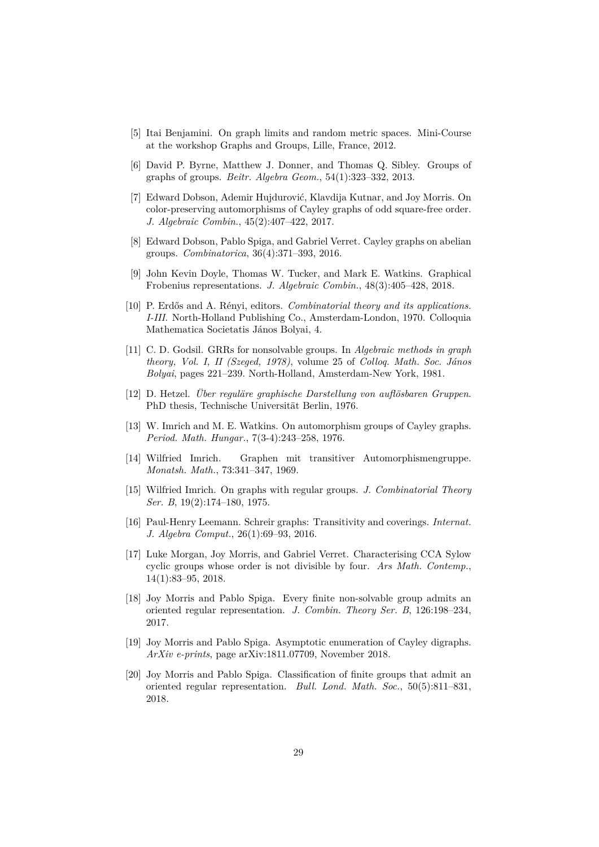- <span id="page-28-15"></span>[5] Itai Benjamini. On graph limits and random metric spaces. Mini-Course at the workshop Graphs and Groups, Lille, France, 2012.
- <span id="page-28-13"></span>[6] David P. Byrne, Matthew J. Donner, and Thomas Q. Sibley. Groups of graphs of groups. *Beitr. Algebra Geom.*, 54(1):323–332, 2013.
- <span id="page-28-8"></span>[7] Edward Dobson, Ademir Hujdurović, Klavdija Kutnar, and Joy Morris. On color-preserving automorphisms of Cayley graphs of odd square-free order. *J. Algebraic Combin.*, 45(2):407–422, 2017.
- <span id="page-28-6"></span>[8] Edward Dobson, Pablo Spiga, and Gabriel Verret. Cayley graphs on abelian groups. *Combinatorica*, 36(4):371–393, 2016.
- <span id="page-28-7"></span>[9] John Kevin Doyle, Thomas W. Tucker, and Mark E. Watkins. Graphical Frobenius representations. *J. Algebraic Combin.*, 48(3):405–428, 2018.
- <span id="page-28-1"></span>[10] P. Erdős and A. Rényi, editors. *Combinatorial theory and its applications. I-III*. North-Holland Publishing Co., Amsterdam-London, 1970. Colloquia Mathematica Societatis János Bolyai, 4.
- <span id="page-28-5"></span>[11] C. D. Godsil. GRRs for nonsolvable groups. In *Algebraic methods in graph theory, Vol. I, II (Szeged, 1978)*, volume 25 of *Colloq. Math. Soc. János Bolyai*, pages 221–239. North-Holland, Amsterdam-New York, 1981.
- <span id="page-28-4"></span>[12] D. Hetzel. *Über reguläre graphische Darstellung von auflösbaren Gruppen*. PhD thesis, Technische Universität Berlin, 1976.
- <span id="page-28-3"></span>[13] W. Imrich and M. E. Watkins. On automorphism groups of Cayley graphs. *Period. Math. Hungar.*, 7(3-4):243–258, 1976.
- <span id="page-28-0"></span>[14] Wilfried Imrich. Graphen mit transitiver Automorphismengruppe. *Monatsh. Math.*, 73:341–347, 1969.
- <span id="page-28-2"></span>[15] Wilfried Imrich. On graphs with regular groups. *J. Combinatorial Theory Ser. B*, 19(2):174–180, 1975.
- <span id="page-28-12"></span>[16] Paul-Henry Leemann. Schreir graphs: Transitivity and coverings. *Internat. J. Algebra Comput.*, 26(1):69–93, 2016.
- <span id="page-28-9"></span>[17] Luke Morgan, Joy Morris, and Gabriel Verret. Characterising CCA Sylow cyclic groups whose order is not divisible by four. *Ars Math. Contemp.*, 14(1):83–95, 2018.
- <span id="page-28-14"></span>[18] Joy Morris and Pablo Spiga. Every finite non-solvable group admits an oriented regular representation. *J. Combin. Theory Ser. B*, 126:198–234, 2017.
- <span id="page-28-10"></span>[19] Joy Morris and Pablo Spiga. Asymptotic enumeration of Cayley digraphs. *ArXiv e-prints*, page arXiv:1811.07709, November 2018.
- <span id="page-28-11"></span>[20] Joy Morris and Pablo Spiga. Classification of finite groups that admit an oriented regular representation. *Bull. Lond. Math. Soc.*, 50(5):811–831, 2018.